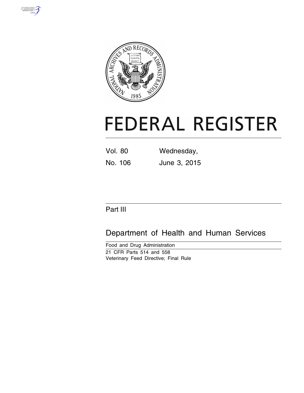



# **FEDERAL REGISTER**

Vol. 80 Wednesday, No. 106 June 3, 2015

### Part III

## Department of Health and Human Services

Food and Drug Administration 21 CFR Parts 514 and 558 Veterinary Feed Directive; Final Rule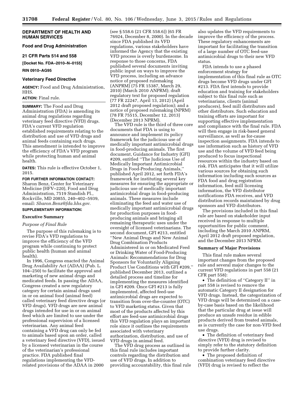#### **DEPARTMENT OF HEALTH AND HUMAN SERVICES**

#### **Food and Drug Administration**

**21 CFR Parts 514 and 558** 

**[Docket No. FDA–2010–N–0155]** 

**RIN 0910–AG95** 

#### **Veterinary Feed Directive**

**AGENCY:** Food and Drug Administration, HHS.

#### **ACTION:** Final rule.

**SUMMARY:** The Food and Drug Administration (FDA) is amending its animal drug regulations regarding veterinary feed directive (VFD) drugs. FDA's current VFD regulation established requirements relating to the distribution and use of VFD drugs and animal feeds containing such drugs. This amendment is intended to improve the efficiency of FDA's VFD program while protecting human and animal health.

**DATES:** This rule is effective October 1, 2015.

#### **FOR FURTHER INFORMATION CONTACT:**

Sharon Benz, Center for Veterinary Medicine (HFV–220), Food and Drug Administration, 7519 Standish Pl., Rockville, MD 20855, 240–402–5939, email: *[Sharon.Benz@fda.hhs.gov](mailto:Sharon.Benz@fda.hhs.gov)*.

#### **SUPPLEMENTARY INFORMATION:**

#### **Executive Summary**

#### *Purpose of Final Rule*

The purpose of this rulemaking is to revise FDA's VFD regulations to improve the efficiency of the VFD program while continuing to protect public health (human and animal health).

In 1996, Congress enacted the Animal Drug Availability Act (ADAA) (Pub. L. 104–250) to facilitate the approval and marketing of new animal drugs and medicated feeds. In passing the ADAA, Congress created a new regulatory category for certain animal drugs used in or on animal food (animal feed) called veterinary feed directive drugs (or VFD drugs). VFD drugs are new animal drugs intended for use in or on animal feed which are limited to use under the professional supervision of a licensed veterinarian. Any animal feed containing a VFD drug can only be fed to animals based upon an order, called a veterinary feed directive (VFD), issued by a licensed veterinarian in the course of the veterinarian's professional practice. FDA published final regulations implementing the VFDrelated provisions of the ADAA in 2000

(see § 558.6 (21 CFR 558.6)) (65 FR 76924, December 8, 2000). In the decade since FDA published its VFD regulations, various stakeholders have informed the Agency that the existing VFD process is overly burdensome. In response to those concerns, FDA published several documents inviting public input on ways to improve the VFD process, including an advance notice of proposed rulemaking (ANPRM) (75 FR 15387, March 29, 2010) (March 2010 ANPRM); draft regulatory text for proposed regulation (77 FR 22247, April 13, 2012) (April 2012 draft proposed regulation); and a notice of proposed rulemaking (NPRM) (78 FR 75515, December 12, 2013) (December 2013 NPRM).

The VFD rule is the third of three core documents that FDA is using to announce and implement its policy framework for the judicious use of medically important antimicrobial drugs in food-producing animals. The first document, Guidance for Industry (GFI) #209, entitled ''The Judicious Use of Medically Important Antimicrobial Drugs in Food-Producing Animals,'' published April 2012, set forth FDA's framework for instituting several key measures for ensuring the appropriate or judicious use of medically important antimicrobial drugs in food-producing animals. These measures include eliminating the feed and water use of medically important antimicrobial drugs for production purposes in foodproducing animals and bringing all remaining therapeutic uses under the oversight of licensed veterinarians. The second document, GFI #213, entitled ''New Animal Drugs and New Animal Drug Combination Products Administered in or on Medicated Feed or Drinking Water of Food-Producing Animals: Recommendations for Drug Sponsors for Voluntarily Aligning Product Use Conditions with GFI #209,'' published December 2013, outlined a detailed process and timeline for implementing the measures identified in GFI #209. Once GFI #213 is fully implemented, affected feed-use antimicrobial drugs are expected to transition from over-the-counter (OTC) to VFD marketing status. Given that most of the products affected by this effort are feed-use antimicrobial drugs this VFD regulation plays an important role since it outlines the requirements associated with veterinary authorization, distribution, and use of VFD drugs in animal feed.

The VFD drug process as outlined in this final rule includes important controls regarding the distribution and use of VFD drugs. In addition to providing accountability, this final rule

also updates the VFD requirements to improve the efficiency of the process. These regulatory enhancements are important for facilitating the transition of a large number of OTC feed-use antimicrobial drugs to their new VFD status.

FDA intends to use a phased enforcement strategy for implementation of this final rule as OTC drugs become VFD drugs under GFI #213. FDA first intends to provide education and training for stakeholders subject to this final rule such as veterinarians, clients (animal producers), feed mill distributors and other distributors. Such education and training efforts are important for supporting effective implementation and compliance with the final rule. FDA will then engage in risk-based general surveillance, as well as for-cause inspection assignments. FDA intends to use information such as history of VFD use and the volume of VFD feed being produced to focus inspectional resources within the industry based on risk. FDA anticipates that it will utilize various sources for obtaining such information including such sources as FDA food and drug registration information, feed mill licensing information, the VFD distributor notifications FDA receives, and VFD distribution records maintained by drug sponsors and VFD distributors.

The provisions included in this final rule are based on stakeholder input received in response to multiple opportunities for public comment, including the March 2010 ANPRM, April 2012 draft proposed regulation, and the December 2013 NPRM.

#### **Summary of Major Provisions**

This final rule makes several important changes from the proposed rule and several major changes to the current VFD regulations in part 558 (21 CFR part 558):

• The definition of "Category II" in part 558 is revised to remove the automatic Category II designation for VFD drugs. Instead, the categorization of VFD drugs will be determined on a caseby-case basis based on the likelihood that the particular drug at issue will produce an unsafe residue in edible products derived from treated animals, as is currently the case for non-VFD feed use drugs.

• The definition of veterinary feed directive (VFD) drug is revised to simply refer to the statutory definition to provide further clarity.

• The proposed definition of combination veterinary feed directive (VFD) drug is revised to reflect the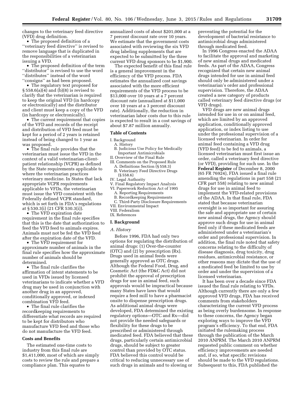changes to the veterinary feed directive (VFD) drug definition.

• The proposed definition of a ''veterinary feed directive'' is revised to remove language that is duplicated in the responsibilities of a veterinarian issuing a VFD.

• The proposed definition of the term ''distributor'' is revised to use the word ''distributes'' instead of the word ''consigns'' as had been proposed.

• The regulatory text proposed for § 558.6(a)(4) and (b)(8) is revised to clarify that the veterinarian is required to keep the original VFD (in hardcopy or electronically) and the distributor and client must keep a copy of the VFD (in hardcopy or electronically).

• The current requirement that copies of the VFD and records of the receipt and distribution of VFD feed must be kept for a period of 2 years is retained instead of being changed to 1 year as was proposed.

• The final rule provides that the veterinarian must issue the VFD in the context of a valid veterinarian-clientpatient relationship (VCPR) as defined by the State requirements applicable to where the veterinarian practices veterinary medicine. In States that lack appropriate VCPR requirements applicable to VFDs, the veterinarian must issue the VFD consistent with the Federally defined VCPR standard, which is set forth in FDA's regulations at § 530.3(i) (21 CFR 530.3(i)).

• The VFD expiration date requirement in the final rule specifies that this is the date that authorization to feed the VFD feed to animals expires. Animals must not be fed the VFD feed after the expiration date of the VFD.

• The VFD requirement for approximate number of animals in the final rule specifies how the approximate number of animals should be determined.

• The final rule clarifies the affirmation of intent statements to be used in VFDs issued by licensed veterinarians to indicate whether a VFD drug may be used in conjunction with another drug in an approved, conditionally approved, or indexed combination VFD feed.

• The final rule clarifies the recordkeeping requirements to differentiate what records are required to be kept for distributors who manufacture VFD feed and those who do not manufacture the VFD feed.

#### **Costs and Benefits**

The estimated one-time costs to industry from this final rule are \$1,411,000, most of which are simply costs to review the rule and prepare a compliance plan. This equates to

annualized costs of about \$201,000 at a 7 percent discount rate over 10 years. We estimate that the government costs associated with reviewing the six VFD drug labeling supplements that are expected to be submitted by the three current VFD drug sponsors to be \$1,900.

The expected benefit of this final rule is a general improvement in the efficiency of the VFD process. FDA estimates the annualized cost savings associated with the more efficient requirements of the VFD process to be \$13,000 over 10 years at a 7 percent discount rate (annualized at \$11,000 over 10 years at a 3 percent discount rate). Additionally, the reduction in veterinarian labor costs due to this rule is expected to result in a cost savings of about \$7.87 million annually.

#### **Table of Contents**

#### I. Background

#### A. History

- B. Judicious Use Policy for Medically Important Antimicrobials
- II. Overview of the Final Rule
- III. Comments on the Proposed Rule A. Definitions Section (§ 558.3)
- B. Veterinary Feed Directive Drugs (§ 558.6)
- IV. Legal Authority
- V. Final Regulatory Impact Analysis
- VI. Paperwork Reduction Act of 1995
	- A. Reporting Requirements
- B. Recordkeeping Requirements
- C. Third-Party Disclosure Requirements
- VII. Environmental Impact
- VIII. Federalism
- IX. References

#### **I. Background**

#### *A. History*

Before 1996, FDA had only two options for regulating the distribution of animal drugs: (1) Over-the-counter (OTC) and (2) by prescription (Rx). Drugs used in animal feeds were generally approved as OTC drugs. Although the Federal Food, Drug, and Cosmetic Act (the FD&C Act) did not prohibit the approval of prescription drugs for use in animal feed, such approvals would be impractical because many States have laws that would require a feed mill to have a pharmacist onsite to dispense prescription drugs. As additional animal drugs were developed, FDA determined the existing regulatory options—OTC and Rx—did not provide the needed safeguards or flexibility for these drugs to be prescribed or administered through medicated feed. FDA believed that these drugs, particularly certain antimicrobial drugs, should be subject to greater control than provided by OTC status. FDA believed this control would be critical to reducing unnecessary use of such drugs in animals and to slowing or

preventing the potential for the development of bacterial resistance to antimicrobial drugs administered through medicated feed.

In 1996 Congress enacted the ADAA to facilitate the approval and marketing of new animal drugs and medicated feeds. As part of the ADAA, Congress recognized that certain new animal drugs intended for use in animal feed should only be administered under a veterinarian's order and professional supervision. Therefore, the ADAA created a new category of products called veterinary feed directive drugs (or VFD drugs).

VFD drugs are new animal drugs intended for use in or on animal feed, which are limited by an approved application, conditionally approved application, or index listing to use under the professional supervision of a licensed veterinarian. In order for animal feed containing a VFD drug (VFD feed) to be fed to animals, a licensed veterinarian must first issue an order, called a veterinary feed directive (or VFD), providing for such use. In the **Federal Register** of December 8, 2000 (65 FR 76924), FDA issued a final rule amending the regulations in part 558 (21 CFR part 558) relating to new animal drugs for use in animal feed to implement the VFD-related provisions of the ADAA. In that final rule, FDA stated that because veterinarian oversight is so important for assuring the safe and appropriate use of certain new animal drugs, the Agency should approve such drugs for use in animal feed only if these medicated feeds are administered under a veterinarian's order and professional supervision. In addition, the final rule noted that safety concerns relating to the difficulty of disease diagnosis, drug toxicity, drug residues, antimicrobial resistance, or other reasons may dictate that the use of a medicated feed be limited to use by order and under the supervision of a licensed veterinarian.

It has been over a decade since FDA issued the final rule relating to VFDs. Although currently there are only a few approved VFD drugs, FDA has received comments from stakeholders characterizing the current VFD process as being overly burdensome. In response to these concerns, the Agency began exploring ways to improve the VFD program's efficiency. To that end, FDA initiated the rulemaking process through the publication of the March 2010 ANPRM. The March 2010 ANPRM requested public comment on whether efficiency improvements are needed and, if so, what specific revisions should be made to the VFD regulations. Subsequent to this, FDA published the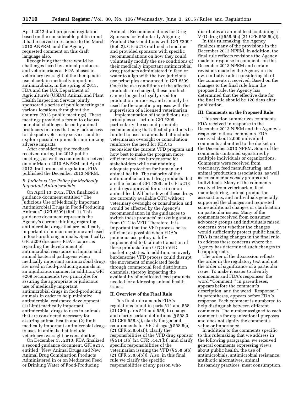April 2012 draft proposed regulation based on the considerable public input it had received in response to the March 2010 ANPRM, and the Agency requested comment on this draft language also.

Recognizing that there would be challenges faced by animal producers and veterinarians as FDA phases in veterinary oversight of the therapeutic use of certain medically important antimicrobials, in the spring of 2013, FDA and the U.S. Department of Agriculture's (USDA) Animal and Plant Health Inspection Service jointly sponsored a series of public meetings in various locations throughout the country (2013 public meetings). These meetings provided a forum to discuss potential challenges faced by animal producers in areas that may lack access to adequate veterinary services and to explore possible options for minimizing adverse impacts.

After considering the feedback received during the 2013 public meetings, as well as comments received on our March 2010 ANPRM and April 2012 draft proposed regulation, FDA published the December 2013 NPRM.

#### *B. Judicious Use Policy for Medically Important Antimicrobials*

On April 13, 2012, FDA finalized a guidance document entitled ''The Judicious Use of Medically Important Antimicrobial Drugs in Food-Producing Animals'' (GFI #209) (Ref. 1). This guidance document represents the Agency's current thinking regarding antimicrobial drugs that are medically important in human medicine and used in food-producing animals. Specifically, GFI #209 discusses FDA's concerns regarding the development of antimicrobial resistance in human and animal bacterial pathogens when medically important antimicrobial drugs are used in food-producing animals in an injudicious manner. In addition, GFI #209 recommends two principles for assuring the appropriate or judicious use of medically important antimicrobial drugs in food-producing animals in order to help minimize antimicrobial resistance development: (1) Limit medically important antimicrobial drugs to uses in animals that are considered necessary for assuring animal health and (2) limit medically important antimicrobial drugs to uses in animals that include veterinary oversight or consultation.

On December 13, 2013, FDA finalized a second guidance document, GFI #213, entitled ''New Animal Drugs and New Animal Drug Combination Products Administered in or on Medicated Feed or Drinking Water of Food-Producing

Animals: Recommendations for Drug Sponsors for Voluntarily Aligning Product Use Conditions with GFI #209'' (Ref. 2). GFI #213 outlined a timeline and provided sponsors with specific recommendations on how they could voluntarily modify the use conditions of their medically important antimicrobial drug products administered in feed or water to align with the two judicious use principles announced in GFI #209. Once the use conditions of the affected products are changed, these products can no longer be legally used for production purposes, and can only be used for therapeutic purposes with the supervision of a licensed veterinarian.

Implementation of the judicious use principles set forth in GFI #209, particularly the second principle recommending that affected products be limited to uses in animals that include veterinarian oversight or consultation, reinforces the need for FDA to reconsider the current VFD program and how best to make the program more efficient and less burdensome for stakeholders while maintaining adequate protection for human and animal health. The majority of the antimicrobial animal drug products that are the focus of GFI #209 and GFI #213 are drugs approved for use in or on animal feed. All but a few of these drugs are currently available OTC without veterinary oversight or consultation and would be affected by the Agency's recommendation in the guidances to switch these products' marketing status from OTC to VFD. Therefore, it is important that the VFD process be as efficient as possible when FDA's judicious use policy is fully implemented to facilitate transition of these products from OTC to VFD marketing status. In addition, an overly burdensome VFD process could disrupt the movement of medicated feeds through commercial feed distribution channels, thereby impacting the availability of medicated feed products needed for addressing animal health issues.

#### **II. Overview of the Final Rule**

This final rule amends FDA's regulations found in parts 514 and 558 (21 CFR parts 514 and 558) to change and clarify certain definitions (§ 558.3 (21 CFR 558.3)), clarify the general requirements for VFD drugs (§ 558.6(a) (21 CFR 558.6(a))), clarify the responsibilities of the VFD drug sponsor (§ 514.1(b) (21 CFR 514.1(b)), and clarify specific responsibilities of the veterinarian issuing the VFD (§ 558.6(b) (21 CFR 558.6(b))). Also, in this final rule we clarify the specific responsibilities of any person who

distributes an animal feed containing a VFD drug (§ 558.6(c) (21 CFR 558.6(c))).

In this rulemaking, the Agency finalizes many of the provisions in the December 2013 NPRM. In addition, the final rule reflects revisions the Agency made in response to comments on the December 2013 NPRM and certain revisions made by the Agency on its own initiative after considering all of the comments it received. Based on the changes to the final rule from the proposed rule, the Agency has determined that the effective date for the final rule should be 120 days after publication.

#### **III. Comments on the Proposed Rule**

This section summarizes comments FDA received in response to the December 2013 NPRM and the Agency's response to those comments. FDA received about 2,000 individual comments submitted to the docket on the December 2013 NPRM. Some of the comments contained signatures by multiple individuals or organizations. Comments were received from veterinary, feed manufacturing, and animal production associations, as well as consumer advocacy groups and individuals. Many of the comments received from veterinarian, feed manufacturing, animal production associations, and individuals generally supported the changes and requested some additional changes or clarification on particular issues. Many of the comments received from consumer advocacy groups and individuals raised concerns over whether the changes would sufficiently protect public health. FDA is making changes in the final rule to address these concerns where the Agency has determined such changes to be appropriate.

The order of the discussion reflects the order in the regulatory text and not the order of significance of a particular issue. To make it easier to identify comments and FDA's responses, the word "Comment," in parentheses, appears before the comment's description, and the word ''Response,'' in parentheses, appears before FDA's response. Each comment is numbered to help distinguish between different comments. The number assigned to each comment is for organizational purposes and does not signify the comment's value or importance.

In addition to the comments specific to this rulemaking that we address in the following paragraphs, we received general comments expressing views about public health, the use of antimicrobials, antimicrobial resistance, antibiotic alternatives, animal husbandry practices, meat consumption,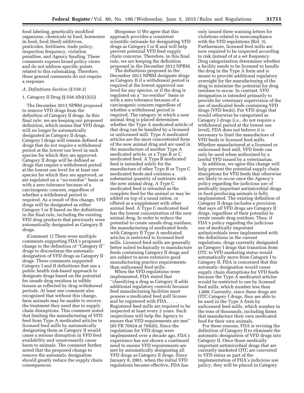food labeling, genetically modified organisms, chemicals in food, hormones in food, food (feed) additives, pesticides, fertilizers, trade policy, inspection frequency, violation penalties, and Agency funding. These comments express broad policy views and do not address specific points related to this rulemaking. Therefore, these general comments do not require a response.

#### *A. Definitions Section (§ 558.3)*

#### 1. Category II Drug (§ 558.3(b)(1)(ii))

The December 2013 NPRM proposed to remove VFD drugs from the definition of Category II drugs. In this final rule, we are keeping our proposed definition, which means that VFD drugs will no longer be automatically designated as Category II drugs. Category I drugs will remain defined as drugs that do not require a withdrawal period at the lowest use level in each species for which they are approved. Category II drugs will be defined as drugs that require a withdrawal period at the lowest use level for at least one species for which they are approved, or are regulated on a ''no-residue'' basis or with a zero tolerance because of a carcinogenic concern, regardless of whether a withdrawal period is required. As a result of this change, VFD drugs will be designated as either Category I or II based on the definitions in the final rule, including the existing VFD drug products that previously were automatically designated as Category II drugs.

(Comment 1) There were multiple comments supporting FDA's proposed change to the definition of ''Category II'' drugs to discontinue the automatic designation of VFD drugs as Category II drugs. These comments supported Category I and II definitions that use a public health risk-based approach to designate drugs based on the potential for unsafe drug residues in edible tissues as reflected by drug withdrawal periods. At least one comment also recognized that without this change, farm animals may be unable to receive the treatment they need due to supply chain disruptions. This comment noted that limiting the manufacturing of VFD feed from Type A medicated articles to licensed feed mills by automatically designating them as Category II would cause a serious disruption in VFD feed availability and unnecessarily cause harm to animals. The comment further noted that the proposed change to remove the automatic designation should greatly reduce the supply chain consequences.

(Response 1) We agree that this approach provides a consistent scientific rationale for designating VFD drugs as Category I or II and will help prevent potential VFD feed supply chain concerns. Therefore, in this final rule, we are keeping the definition proposed in the December 2013 NPRM.

The definitions proposed in the December 2013 NPRM designate drugs as Category II if a withdrawal period is required at the lowest approved use level for any species, or if the drug is regulated on a ''no-residue'' basis or with a zero tolerance because of a carcinogenic concern regardless of whether a withdrawal period is required. The category in which a new animal drug is placed determines whether the Type A medicated article of that drug can be handled by a licensed or unlicensed mill. Type A medicated articles are the most concentrated form of the new animal drug and are used in the manufacture of another Type A medicated article, or a Type B or C medicated feed. A Type B medicated feed is intended solely for the manufacture of other Type B or Type C medicated feeds and contains a substantial quantity of nutrients with the new animal drug. A Type C medicated feed is intended as the complete feed for the animal or may be added on top of a usual ration, or offered as a supplement with other animal feed. A Type C medicated feed has the lowest concentration of the new animal drug. In order to reduce the potential to create unsafe drug residues, the manufacturing of medicated feeds with Category II Type A medicated articles is restricted to licensed feed mills. Licensed feed mills are generally better suited technically to manufacture feeds containing Category II drugs and are subject to more extensive good manufacturing practice requirements than unlicensed feed mills.

When the VFD regulations were implemented, FDA stated that ''classifying a drug as Category II adds additional regulatory controls because feed manufacturing facilities must possess a medicated feed mill license and be registered with FDA. . . . Registered feed mills are required to be inspected at least every 2 years. Such inspections will help the Agency to ensure that VFD requirements are met'' (65 FR 76924 at 76926). Since the regulations for VFD drugs were implemented over a decade ago, FDA's experience has not shown a continued need to ensure VFD requirements are met by automatically designating all VFD drugs as Category II drugs. Since January 8, 2001, when the initial VFD regulations became effective, FDA has

only issued three warning letters for violations related to noncompliance with the VFD regulations (Ref. 3). Furthermore, licensed feed mills are now required to be inspected according to risk instead of at a set frequency. Drug categorization determines whether a facility needs to be licensed to handle the drug in the Type A form and is meant to provide additional regulatory oversight for the manufacturing of the drug to minimize the potential for drug residues to occur. In contrast, VFD designation is intended primarily to provide for veterinary supervision of the use of medicated feeds containing VFD drugs (VFD feeds). For VFD drugs that would otherwise be categorized as Category I drugs (*i.e.,* do not require a withdrawal period at the lowest use level), FDA does not believe it is necessary to limit the manufacture of VFD feeds to licensed feed mills. Whether manufactured at a licensed or unlicensed feed mill, VFD feeds can only be used when authorized by a lawful VFD issued by a veterinarian.

In addition, we agree this change will help prevent the potential supply chain disruptions for VFD feeds that otherwise are likely to occur once the Agency's policy regarding the judicious use of medically important antimicrobial drugs in food-producing animals is fully implemented. The existing definition of Category II drugs includes a provision that says *all* VFD drugs are Category II drugs, regardless of their potential to create unsafe drug residues. Thus, if FDA's policy regarding the judicious use of medically important antimicrobials were implemented with the definitions in the current regulations, drugs currently designated as Category I drugs that transition from OTC to VFD marketing status would automatically move from Category I to Category II. FDA is concerned that this automatic designation would cause supply chain disruptions for VFD feeds because the Type A medicated articles would be restricted to use by licensed feed mills, which number less than 1,000. Currently, since these drugs are OTC Category I drugs, they are able to be used in the Type A form by unlicensed feed mills, which number in the tens of thousands, including farms that manufacture their own medicated feed for their own animals.

For these reasons, FDA is revising the definition of Category II to eliminate the automatic designation of VFD drugs into Category II. Once those medically important antimicrobial drugs that are currently marketed OTC are converted to VFD status as part of the implementation of FDA's judicious use policy, they will be placed in Category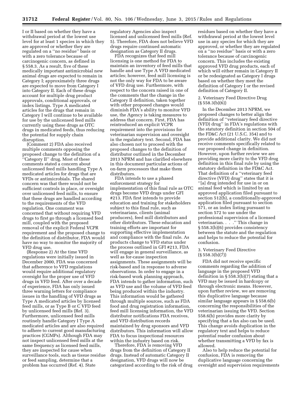I or II based on whether they have a withdrawal period at the lowest use level for at least 1 species in which they are approved or whether they are regulated on a ''no residue'' basis or with a zero tolerance because of carcinogenic concern, as defined in § 558.3. As a result, five of these medically important antimicrobial new animal drugs are expected to remain in Category I; approximately three drugs are expected to move from Category I into Category II. Each of these drugs account for multiple drug product approvals, conditional approvals, or index listings. Type A medicated articles for the drugs that remain in Category I will continue to be available for use by the unlicensed feed mills currently using these drugs as OTC drugs in medicated feeds, thus reducing the potential for supply chain disruption.

(Comment 2) FDA also received multiple comments opposing the proposed change to the definition of a ''Category II'' drug. Most of these comments stated a concern about unlicensed feed mills handling Type A medicated articles for drugs that are VFDs or antimicrobials. The shared concern was that there would not be sufficient controls in place, or oversight over unlicensed feed mills, to ensure that these drugs are handled according to the requirements of the VFD regulation. One comment was concerned that without requiring VFD drugs to first go through a licensed feed mill, coupled with the proposed removal of the explicit Federal VCPR requirement and the proposed change to the definition of distributor, FDA would have no way to monitor the majority of VFD drug use.

(Response 2) At the time VFD regulations were initially issued in December 2000, FDA was concerned that adherence to VFD regulations would require additional regulatory oversight for the proper use of VFD drugs in VFD feed. After over a decade of experience, FDA has only issued three warning letters for compliance issues in the handling of VFD drugs as Type A medicated articles by licensed feed mills, or as Type B or C VFD feed by unlicensed feed mills (Ref. 3). Furthermore, unlicensed feed mills routinely handle Category I Type A medicated articles and are also required to adhere to current good manufacturing practices (CGMPs). Although FDA may not inspect unlicensed feed mills at the same frequency as licensed feed mills, they are inspected for cause when surveillance tools, such as tissue residue or feed sampling, determine that a problem has occurred (Ref. 4). State

regulatory Agencies also inspect licensed and unlicensed feed mills (Ref. 5). Therefore, FDA does not believe VFD drugs require continued automatic designation as Category II drugs.

FDA recognizes that feed mill licensing is one method for FDA to maintain an inventory of feed mills that handle and use Type A VFD medicated articles; however, feed mill licensing is not the only way for FDA to be aware of VFD drug use. Furthermore, with respect to the concern raised in one of the comments that the change in the Category II definition, taken together with other proposed changes would diminish FDA's ability to monitor VFD use, the Agency is taking measures to address that concern. First, FDA has reintroduced an explicit VCPR requirement into the provisions for veterinarian supervision and oversight in the regulatory text. Second, FDA has also chosen not to proceed with the proposed changes to the definition of distributor outlined in the December 2013 NPRM and has clarified elsewhere in this document particular actions of on-farm processors that make them distributors.

FDA intends to use a phased enforcement strategy for implementation of this final rule as OTC drugs become VFD drugs under GFI #213. FDA first intends to provide education and training for stakeholders subject to this final rule, such as veterinarians, clients (animal producers), feed mill distributors and other distributors. These education and training efforts are important for supporting effective implementation and compliance with the final rule. As products change to VFD status under the process outlined in GFI #213, FDA will engage in general surveillance, as well as for-cause inspection assignments. These assignments will be risk-based and in response to adverse observations. In order to engage in a risk-based work planning approach, FDA intends to gather information, such as VFD use and the volume of VFD feed being produced within the industry. This information would be gathered through multiple sources, such as FDA food and drug registration information, feed mill licensing information, the VFD distributor notifications FDA receives, and VFD distribution records maintained by drug sponsors and VFD distributors. This information will allow FDA to focus inspectional resources within the industry based on risk.

Therefore, FDA is removing VFD drugs from the definition of Category II drugs. Instead of automatic Category II designation, VFD drugs will now be categorized according to the risk of drug

residues based on whether they have a withdrawal period at the lowest level use in any species for which they are approved, or whether they are regulated on a ''no residue'' basis or with a zero tolerance because of carcinogenic concern. This includes the existing approved VFD drug products, each of which will either remain in Category II or be redesignated as Category I drugs based on whether they meet the definition of Category I or the revised definition of Category II.

2. Veterinary Feed Directive Drug  $(S 558.3(b)(6))$ 

In the December 2013 NPRM, we proposed changes to better align the definition of ''veterinary feed directive (VFD) drug'' in FDA's regulations with the statutory definition in section 504 of the FD&C Act (21 U.S.C. 354) and to provide additional clarity. We did not receive comments specifically related to our proposed change in definition. However, upon further review we are providing more clarity to the VFD drug definition in this final rule by using the statutory definition in the FD&C Act. That definition of a ''veterinary feed directive (VFD) drug'' states that it is ''[a] drug intended for use in or on animal feed which is limited by an approved application filed pursuant to section 512(b), a conditionally-approved application filed pursuant to section 571, or an index listing pursuant to section 572 to use under the professional supervision of a licensed veterinarian. . . . " This change in § 558.3(b)(6) provides consistency between the statute and the regulation and helps to reduce the potential for confusion.

#### 3. Veterinary Feed Directive  $(S 558.3(b)(7))$

FDA did not receive specific comments regarding the addition of language in the proposed VFD definition in § 558.3(b)(7) stating that a VFD may be issued in hardcopy or through electronic means. However, upon further review, we are removing this duplicative language because similar language appears in § 558.6(b) concerning the responsibilities of the veterinarian issuing the VFD. Section 558.6(b) provides more clarity by specifying that a fax also can be used. This change avoids duplication in the regulatory text and helps to reduce potential reader confusion about whether transmitting a VFD by fax is allowed.

Also to help reduce the potential for confusion, FDA is removing the duplicative language concerning the oversight and supervision requirements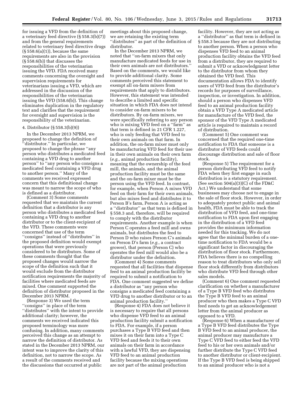for issuing a VFD from the definition of a veterinary feed directive (§ 558.3(b)(7)) and from the general requirements related to veterinary feed directive drugs  $(\S 558.6(a)(1))$ , because the same requirements are also in the provision (§ 558.6(b)) that discusses the responsibilities of the veterinarian issuing the VFD. FDA received many comments concerning the oversight and supervision requirements for veterinarians issuing a VFD, which are addressed in the discussion of the responsibilities of the veterinarian issuing the VFD (558.6(b)). This change eliminates duplication in the regulatory text and clarifies that the requirement for oversight and supervision is the responsibility of the veterinarian.

#### 4. Distributor (§ 558.3(b)(9))

In the December 2013 NPRM, we proposed to change the definition of ''distributor.'' In particular, we proposed to change the phrase ''any person who distributes a medicated feed containing a VFD drug to another person'' to ''any person who consigns a medicated feed containing a VFD drug to another person.'' Many of the comments we received expressed concern that this definitional change was meant to narrow the scope of who is defined as a distributor.

(Comment 3) Some comments requested that we maintain the current definition that a distributor is any person who distributes a medicated feed containing a VFD drug to another distributor or to the client-recipient of the VFD. These comments were concerned that use of the term ''consigns'' instead of ''distributes'' in the proposed definition would exempt operations that were previously considered to be distributors. Some of these comments thought that the proposed changes would narrow the scope of the definition such that it would exclude from the distributor notification requirements the majority of facilities where medicated feeds are mixed. One comment supported the definition of distributor proposed in the December 2013 NPRM.

(Response 3) We used the term ''consigns'' in place of the term ''distributes'' with the intent to provide additional clarity; however, the comments we received indicated this proposed terminology was more confusing. In addition, many comments perceived this change as an attempt to narrow the definition of distributor. As stated in the December 2013 NPRM, our intent was to improve the clarity of this definition, not to narrow the scope. As a result of the comments received and the discussions that occurred at public

meetings about this proposed change, we are retaining the existing term ''distributes'' as part of the definition of distributor.

In the December 2013 NPRM, we noted that ''on-farm mixers that only manufacture medicated feeds for use in their own animals are not distributors.'' Based on the comments, we would like to provide additional clarity. Some comments perceived this statement to exempt all on-farm mixers from requirements that apply to distributors. However, this statement was intended to describe a limited and specific situation in which FDA does not intend to consider on-farm mixers to be distributors. By on-farm mixers, we were specifically referring to any person who is mixing VFD feed on a "farm" as that term is defined in 21 CFR 1.227, who is only feeding that VFD feed to their own animals on that farm. In addition, the on-farm mixer must only be manufacturing VFD feed for their use in their own animals on their own farm (*e.g.,* animal production facility), meaning that the ownership of the feed mill, the animals, and the animal production facility must be the same and the on-farm mixer must be the person using the VFD feed. In contrast, for example, when Person A mixes VFD feed on their farm for their own animals, but also mixes feed and distributes it to Person B's farm, Person A is acting as a ''distributor'' as that term is defined in § 558.3 and, therefore, will be required to comply with the distributor requirements. Another example is when Person C operates a feed mill and owns animals, but distributes the feed to Person D who raises Person C's animals on Person D's farm (*e.g.,* a contract grower), that person (Person C) who operates the feed mill would also be a distributor under the definition.

(Comment 4) Some comments requested that all facilities that dispense feed to an animal production facility be required to submit a notification to FDA. One comment suggested we define a distributor as ''any person who consigns a medicated feed containing a VFD drug to another distributor or to an animal production facility.''

(Response 4) FDA does not believe it is necessary to require that all persons who dispense VFD feed to an animal production facility submit a notification to FDA. For example, if a person purchases a Type B VFD feed and then mixes it on their farm into a Type C VFD feed and feeds it to their own animals on their farm in accordance with a lawful VFD, they are dispensing VFD feed to an animal production facility because the mixing operations are not part of the animal production

facility. However, they are not acting as a ''distributor'' as that term is defined in § 558.3 because they are not distributing to another person. When a person who dispenses VFD feed to an animal production facility obtains the VFD feed from a distributor, they are required to submit a VFD or acknowledgment letter to the distributor from whom they obtained the VFD feed. This documentation allows FDA to identify users of VFD feed from the distributor's records for purposes of surveillance, inspection, or investigation. In addition, should a person who dispenses VFD feed to an animal production facility obtain a VFD Type A medicated article for manufacture of the VFD feed, the sponsor of the VFD Type A medicated article is required to maintain a record of distribution.

(Comment 5) One comment was concerned that the required one-time notification to FDA that someone is a distributor of VFD feeds could discourage distribution and sale of floor stock.

(Response 5) The requirement for a person distributing VFD feed to notify FDA when they first engage in such distribution is a statutory requirement. (See section  $504(a)(3)(C)$  of the FD&C Act.) We understand that some businesses may choose not to engage in the sale of floor stock. However, in order to adequately protect public and animal health, FDA must be able to track the distribution of VFD feed, and one-time notification to FDA upon first engaging in the distribution of a VFD feed provides the minimum information needed for this tracking. We do not agree that the minimal burden of a onetime notification to FDA would be a significant factor in discouraging the distribution of floor stock. Furthermore, FDA believes there is no compelling reason to treat distributors who only sell floor stock differently from distributors who distribute VFD feed through other sales models.

(Comment 6) One comment requested clarification on whether a manufacturer of a Type B VFD feed who distributes the Type B VFD feed to an animal producer who then makes a Type C VFD feed needs to get an acknowledgement letter from the animal producer as opposed to a VFD.

(Response 6) When a manufacturer of a Type B VFD feed distributes the Type B VFD feed to an animal producer, the animal producer may manufacture a Type C VFD feed to either feed the VFD feed to his or her own animals and/or further distribute the Type C VFD feed to another distributor or client-recipient. If the Type B VFD feed is being shipped to an animal producer who is not a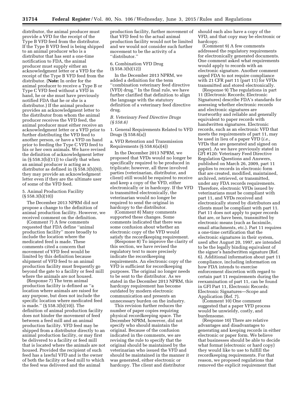distributor, the animal producer must provide a VFD for the receipt of the Type B VFD feed from the distributor. If the Type B VFD feed is being shipped to an animal producer who is a distributor that has sent a one-time notification to FDA, the animal producer must supply either an acknowledgment letter or a VFD for the receipt of the Type B VFD feed from the distributor. (**Note:** In order for the animal producer to receive a Type B or Type C VFD feed without a VFD in hand, he or she must have previously notified FDA that he or she is a distributor.) If the animal producer provides an acknowledgment letter to the distributor from whom the animal producer receives the VFD feed, the animal producer must either receive an acknowledgment letter or a VFD prior to further distributing the VFD feed to another person, or have a VFD on hand prior to feeding the Type C VFD feed to his or her own animals. We have revised the definition of acknowledgment letter in (§ 558.3(b)(11)) to clarify that when an animal producer is acting as a distributor as defined in (§ 558.3(b)(9)), they may provide an acknowledgment letter even if they are the ultimate user of some of the VFD feed.

#### 5. Animal Production Facility  $(S 558.3(b)(10))$

The December 2013 NPRM did not propose a change to the definition of animal production facility. However, we received comment on the definition.

(Comment 7) A few comments requested that FDA define ''animal production facility'' more broadly to include the location where the medicated feed is made. These comments cited a concern that movement of VFD feed would be limited by this definition because shipment of VFD feed to an animal production facility must frequently go beyond the gate to a facility or feed mill where the animals are not housed.

(Response 7) The term animal production facility is defined as ''a location where animals are raised for any purpose, but does not include the specific location where medicated feed is made.'' (§ 558.3(b)(10)). The definition of animal production facility does not hinder the movement of feed between a feed mill and an animal production facility. VFD feed may be shipped from a distributor directly to an animal production facility, or may first be delivered to a facility or feed mill that is located where the animals are not housed. Provided the recipient of such feed has a lawful VFD and is the owner of both the facility or feed mill to which the feed was delivered and the animal

production facility, further movement of that VFD feed to the actual animal production facility would not be limited and we would not consider such further movement to be the activity of a ''distributor.''

6. Combination VFD Drug  $(S 558.3(b)(12))$ 

In the December 2013 NPRM, we added a definition for the term ''combination veterinary feed directive (VFD) drug.'' In the final rule, we have further clarified that definition to align the language with the statutory definition of a veterinary feed directive drug.

#### *B. Veterinary Feed Directive Drugs (§ 558.6)*

1. General Requirements Related to VFD Drugs (§ 558.6(a))

a. VFD Retention and Transmission Requirements  $(\S 558.6(a)(4))$ 

In the December 2013 NPRM, we proposed that VFDs would no longer be specifically required to be produced in triplicate; however, all three involved parties (veterinarian, distributor, and client) still would be required to receive and keep a copy of the VFD, either electronically or in hardcopy. If the VFD is transmitted electronically, the veterinarian would no longer be required to send the original in hardcopy to the distributor.

(Comment 8) Many comments supported these changes. Some comments indicated that there was some confusion about whether an electronic copy of the VFD would satisfy the recordkeeping requirement.

(Response 8) To improve the clarity of this section, we have revised the regulatory text to more precisely indicate the recordkeeping requirements. An electronic copy of the VFD is sufficient for recordkeeping purposes. The original no longer needs to be sent to the distributor. As we stated in the December 2013 NPRM, this hardcopy requirement has become outdated by modern electronic communication and presents an unnecessary burden on the industry.

This revision further reduces the number of paper copies requiring physical recordkeeping space. The December NPRM, however, did not specify who should maintain the original. Because of the confusion indicated in the comments, we are revising the rule to specify that the original should be maintained by the veterinarian who issued the VFD and should be maintained in the manner it was generated, either electronic or hardcopy. The client and distributor

should each also have a copy of the VFD, and that copy may be electronic or hardcopy.

(Comment 9) A few comments addressed the regulatory requirements for electronically generated documents. One comment asked what requirements would apply to records with an electronic signature. Another comment urged FDA to not require compliance with 21 CFR part 11 (part 11) for VFDs transmitted and stored electronically.

(Response 9) The regulations in part 11 (Electronic Records; Electronic Signatures) describe FDA's standards for assessing whether electronic records and electronic signatures are trustworthy and reliable and generally equivalent to paper records with handwritten signatures. Electronic records, such as an electronic VFD that meets the requirements of part 11, may be used in lieu of a paper VFD (*i.e.,*  VFDs that are generated and signed on paper). As we have previously stated in GFI #120: Veterinary Feed Directive Regulation Questions and Answers, published on March 26, 2009, part 11 applies to records in electronic form that are created, modified, maintained, archived, retrieved, or transmitted, under any FDA records requirements. Therefore, electronic VFDs issued by veterinarians must be compliant with part 11, and VFDs received and electronically stored by distributors and clients must be compliant with part 11. Part 11 does not apply to paper records that are, or have been, transmitted by electronic means (such as facsimile, email attachments, etc.). Part 11 requires a one-time certification that the electronic signatures in their system, used after August 20, 1997, are intended to be the legally binding equivalent of the signer's handwritten signature (Ref. 6). Additional information about part 11 compliance, including information on how FDA intends to exercise enforcement discretion with regard to certain part 11 requirements during the reexamination of part 11, can be found in GFI Part 11, Electronic Records; Electronic Signatures—Scope and Application (Ref. 7).

(Comment 10) One comment suggested that a paper VFD process would be unwieldy, costly, and burdensome.

(Response 10) There are relative advantages and disadvantages to generating and keeping records in either electronic or paper form. We believe that businesses should be able to decide what format (electronic or hard copy) they would like to use to fulfill the recordkeeping requirements. For that reason, we proposed regulations that removed the explicit requirement that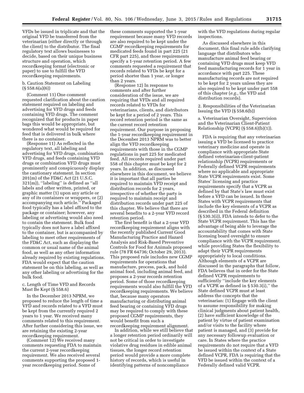VFDs be issued in triplicate and that the original VFD be transferred from the veterinarian (either directly or through the client) to the distributor. The final regulatory text allows businesses to decide, based on their unique business structure and operation, which recordkeeping format (electronic or paper) to use to fulfill the VFD recordkeeping requirements.

#### b. Caution Statement on Labeling (§ 558.6(a)(6))

(Comment 11) One comment requested clarification about the caution statement required on labeling and advertising for VFD drugs and feeds containing VFD drugs. The comment recognized that for products in paper bags this would be appropriate, but wondered what would be required for feed that is delivered in bulk where there is no container.

(Response 11) As reflected in the regulatory text, all labeling and advertising for VFD drugs, combination VFD drugs, and feeds containing VFD drugs or combination VFD drugs must prominently and conspicuously display the cautionary statement. In section 201(m) of the FD&C Act (21 U.S.C. 321(m)), ''labeling'' is defined as ''all labels and other written, printed, or graphic matter (1) upon any article or any of its containers or wrappers, or (2) accompanying such article.'' Packaged food typically has a label affixed to the package or container; however, any labeling or advertising would also need to contain the statement. Bulk food typically does not have a label affixed to the container, but is accompanied by labeling to meet other requirements of the FD&C Act, such as displaying the common or usual name of the animal food, as well as any other information already required by existing regulations. FDA would expect that the caution statement be on this labeling, as well as any other labeling or advertising for the bulk food.

#### c. Length of Time VFD and Records Must Be Kept (§ 558.6)

In the December 2013 NPRM, we proposed to reduce the length of time a VFD and records related to a VFD must be kept from the currently required 2 years to 1 year. We received many comments related to this requirement. After further considering this issue, we are retaining the existing 2-year recordkeeping requirement.

(Comment 12) We received many comments requesting FDA to maintain the current 2-year recordkeeping requirement. We also received several comments supporting the proposed 1 year recordkeeping period. Some of

these comments supported the 1-year requirement because many VFD records are also required to be kept under the CGMP recordkeeping requirements for medicated feeds found in part 225 (21 CFR part 225), and those requirements specify a 1-year retention period. A few comments requested a requirement that records related to VFDs be kept for a period shorter than 1 year, or longer than 2 years.

(Response 12) In response to comments and after further consideration of the issue, we are requiring that VFDs and all required records related to VFDs for veterinarians, clients, and distributors be kept for a period of 2 years. This record retention period is the same as the current record retention requirement. Our purpose in proposing the 1-year recordkeeping requirement in the December 2013 NPRM was to better align the VFD recordkeeping requirements with those in the CGMP regulations in part 225 for medicated feed. All records required under part 558 of this chapter must be kept for 2 years. In addition, as discussed elsewhere in this document, we believe it is important that all parties be required to maintain VFD receipt and distribution records for 2 years, irrespective of whether the party is required to maintain receipt and distribution records under part 225 of this chapter. We believe that there are several benefits to a 2-year VFD record retention period.

The first benefit is that a 2-year VFD recordkeeping requirement aligns with the recently published Current Good Manufacturing Practice and Hazard Analysis and Risk-Based Preventive Controls for Food for Animals proposed rule (78 FR 64736; October 29, 2013). This proposed rule includes new CGMP requirements for operations that manufacture, process, pack, and hold animal food, including animal feed, and proposes a 2-year records retention period. Some of those recordkeeping requirements would also fulfill the VFD recordkeeping requirements. We believe that, because many operators manufacturing or distributing animal feed bearing or containing VFD drugs may be required to comply with these proposed CGMP requirements, they would benefit from such a recordkeeping requirement alignment.

In addition, while we still believe that a longer retention period ordinarily will not be critical in order to investigate violative drug residues in edible animal tissues, the longer record retention period would provide a more complete history of records, which is useful in identifying patterns of noncompliance

with the VFD regulations during regular inspections.

As discussed elsewhere in this document, this final rule adds clarifying language that distributors who manufacture animal feed bearing or containing VFD drugs must keep VFD feed manufacturing records for 1 year in accordance with part 225. These manufacturing records are not required to be kept for 2 years unless they are also required to be kept under part 558 of this chapter (*e.g.,* the VFD and distribution records).

2. Responsibilities of the Veterinarian Issuing the VFD (§ 558.6(b))

a. Veterinarian Oversight, Supervision and the Veterinarian Client-Patient Relationship (VCPR) (§ 558.6)(b)(1)).

FDA is requiring that any veterinarian issuing a VFD be licensed to practice veterinary medicine and operate in compliance with appropriate State defined veterinarian-client-patient relationship (VCPR) requirements or Federally defined VCPR requirements where no applicable and appropriate State VCPR requirements exist. Some States' licensing and practice requirements specify that a VCPR as defined by that State's law must exist before a VFD can be issued. In those States with VCPR requirements that include the key elements of a VCPR as described in the Federal definition (§ 530.3(i)), FDA intends to defer to the State VCPR requirement. This has the advantage of being able to leverage the accountability that comes with State licensing board oversight to ensure compliance with the VCPR requirement, while providing States the flexibility to adapt their VCPR requirements appropriately to local conditions. Although elements of a VCPR are discussed in the paragraphs that follow, FDA believes that in order for the State defined VCPR requirements to sufficiently ''include the key elements of a VCPR as defined in § 530.3(i),'' the State defined VCPR must at least address the concepts that the veterinarian: (1) Engage with the client to assume responsibility for making clinical judgments about patient health, (2) have sufficient knowledge of the patient by virtue of patient examination and/or visits to the facility where patient is managed, and (3) provide for any necessary followup evaluation or care. In States where the practice requirements do not require that a VFD be issued within the context of a State defined VCPR, FDA is requiring that the VFD be issued within the context of a Federally defined valid VCPR.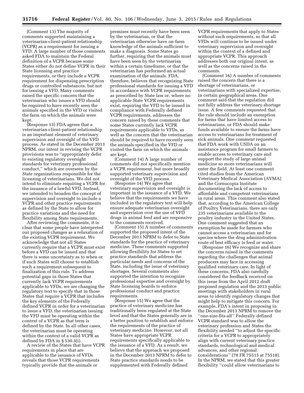(Comment 13) The majority of comments supported maintaining a veterinarian-client-patient relationship (VCPR) as a requirement for issuing a VFD. A large number of those comments asked FDA to maintain the Federal definition of a VCPR because some States either do not define VCPR in their State licensing and practice requirements, or they include a VCPR requirement for dispensing prescription drugs or controlled substances, but not for issuing a VFD. Many comments raised the specific concern that the veterinarian who issues a VFD should be required to have recently seen the animals specified in the VFD or visited the farm on which the animals were kept.

(Response 13) FDA agrees that a veterinarian-client-patient relationship is an important element of veterinary supervision and oversight of the VFD process. As stated in the December 2013 NPRM, our intent in revising the VCPR provisions was to ''appropriately defer to existing regulatory oversight standards for veterinary professional conduct,'' which are overseen by the State organizations responsible for the licensing of veterinarians. We did not intend to eliminate requiring a VCPR for the issuance of a lawful VFD. Instead, we intended to broaden the concept of supervision and oversight to include a VCPR and other practice requirements as defined by the State to allow for practice variations and the need for flexibility among State requirements.

After reviewing the comments, it is clear that some people have interpreted our proposed changes as a relaxation of the existing VCPR requirement. We acknowledge that not all States currently require that a VCPR must exist before a VFD can be issued and that there is some uncertainty as to when or if such States will choose to establish such a requirement subsequent to finalization of this rule. To address potential gaps in those States that currently lack VCPR requirements applicable to VFDs, we are changing the regulatory text to specify that in those States that require a VCPR that includes the key elements of the Federally defined VCPR in order for a veterinarian to issue a VFD, the veterinarian issuing the VFD must be operating within the context of a VCPR as that term is defined by the State. In all other cases, the veterinarian must be operating within the context of a valid VCPR as defined by FDA in § 530.3(i).

A review of the States that have VCPR requirements in place that are applicable to the issuance of VFDs reveals that those VCPR requirements typically provide that the animals or

premises must recently have been seen by the veterinarian, or that the veterinarian otherwise have on-farm knowledge of the animals sufficient to make a diagnosis. Some States go further, requiring that the animals must have been seen by the veterinarian within a certain timeframe, or that the veterinarian has performed an actual examination of the animals. FDA, therefore, believes that recognizing State professional standards for issuing a VFD in accordance with VCPR requirements as prescribed by State law or, where no applicable State VCPR requirements exist, requiring the VFD to be issued in compliance with Federally defined VCPR requirements, addresses the concern raised by these comments that some States currently lack VCPR requirements applicable to VFDs, as well as the concern that the veterinarian should be required to have recently seen the animals specified in the VFD or visited the farm on which the animals are kept.

(Comment 14) A large number of comments did not specifically mention a VCPR requirement, but more broadly supported veterinary supervision and oversight of the VFD process.

(Response 14) We agree that veterinary supervision and oversight is important in the issuance of a VFD. We believe that the requirements we have included in the regulatory text will help ensure adequate veterinarian oversight and supervision over the use of VFD drugs in animal feed and are responsive to the comments received.

(Comment 15) A number of comments supported the proposed intent of the December 2013 NPRM to defer to State standards for the practice of veterinary medicine. These comments supported allowing flexibility for States to set practice standards that address the particular needs and concerns of the State, including the issue of veterinary shortages. Several comments also supported the intention to recognize professional expertise and oversight by State licensing boards to enforce professional conduct and practice requirements.

(Response 15) We agree that the practice of veterinary medicine has traditionally been regulated at the State level and that the States generally are in a better position to establish and enforce the requirements of the practice of veterinary medicine. However, not all States have appropriate VCPR requirements specifically applicable to the issuance of a VFD. As a result, we believe that the approach we proposed in the December 2013 NPRM to defer to State practice standards needs to be supplemented with Federally defined

VCPR requirements that apply to States without such requirements, so that all VFDs will continue to be issued under veterinary supervision and oversight within the context of a defined and appropriate VCPR. This approach addresses both our original intent, as well as the concerns raised in the comments.

(Comment 16) A number of comments raised the concern that there is a shortage of veterinarians, or veterinarians with specialized expertise, in certain geographical areas. One comment said that the regulation did not fully address the veterinary shortage issue. A few comments requested that the rule should include an exemption for farms that have limited access to veterinarians, or FDA should make funds available to ensure the farms have access to veterinarians for treatment of sick animals. One comment requested that FDA work with USDA on an assistance program for small farmers to enable access to veterinary care and support the study of large animal medicine so more veterinarians will enter the field. At least one comment cited studies from the American Veterinary Medical Association (AVMA) and the Cornucopia Institute documenting the lack of access to affordable and competent veterinarians in rural areas. This comment also stated that, according to the American College of Poultry Veterinarians, there are only 235 veterinarians available to the poultry industry in the United States. One comment suggested that an exemption be made for farmers who cannot access a veterinarian and for species where the drug administration route of best efficacy is feed or water.

(Response 16) We recognize and share the concerns raised in the comments regarding the challenges that animal producers may face in accessing qualified veterinary care. In light of these concerns, FDA also carefully considered the feedback received on this issue from the April 2012 draft proposed regulation and the 2013 public meetings with stakeholders in rural areas to identify regulatory changes that might help to mitigate this concern. For example, FDA's intent in proposing in the December 2013 NPRM to remove the ''one-size-fits-all'' Federally defined VCPR standard was to allow the veterinary profession and States the flexibility needed ''to adjust the specific criteria for a VCPR to appropriately align with current veterinary practice standards, technological and medical advances, and other regional considerations'' (78 FR 75515 at 75518). In the NPRM, we stated that this greater flexibility ''could allow veterinarians to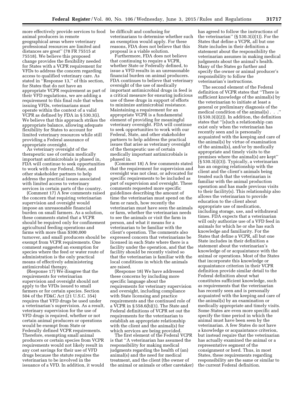more effectively provide services to food be difficult and confusing for animal producers in remote geographical areas where veterinary professional resources are limited and distances are great'' (78 FR 75515 at 75518). We believe this proposed change provides the flexibility needed for States with a VCPR requirement for VFDs to address the concern regarding access to qualified veterinary care. As stated in ''Response 13,'' of this section, for States that do not have an appropriate VCPR requirement as part of their VFD regulations, we are adding a requirement to this final rule that when issuing VFDs, veterinarians must operate within the context of a valid VCPR as defined by FDA in § 530.3(i). We believe that this approach strikes the appropriate balance, allowing adequate flexibility for States to account for limited veterinary resources while still providing a Federal assurance of appropriate oversight.

As veterinary oversight of the therapeutic use of certain medically important antimicrobials is phased in, FDA will continue to seek opportunities to work with our Federal, State, and other stakeholder partners to help address the practical issues associated with limited access to veterinary services in certain parts of the country.

(Comment 17) A few comments raised the concern that requiring veterinarian supervision and oversight would impose an unreasonable financial burden on small farmers. As a solution, these comments stated that a VCPR should be required only for confinement agricultural feeding operations and farms with more than \$300,000 turnover, and small producers should be exempt from VCPR requirements. One comment suggested an exemption for species where the feed or water route of administration is the only practical means of effectively administering antimicrobial therapy.

(Response 17) We disagree that the requirements for veterinarian supervision and oversight should not apply to the VFDs issued to small farmers or for certain species. Section 504 of the FD&C Act (21 U.S.C. 354) requires that VFD drugs be used under a veterinarian's supervision. As a result, veterinary supervision for the use of VFD drugs is required, whether or not certain animal producers or operations would be exempt from State or Federally defined VCPR requirements. Therefore, exempting small animal producers or certain species from VCPR requirements would not likely result in any cost savings for their use of VFD drugs because the statute requires the veterinarian to be involved in the issuance of a VFD. In addition, it would

veterinarians to determine whether such an exemption would apply. For these reasons, FDA does not believe that this proposal is a viable solution.

Furthermore, FDA does not believe that continuing to require a VCPR, whether State or Federally defined, to issue a VFD results in an unreasonable financial burden on animal producers. FDA continues to believe that veterinary oversight of the use of medically important antimicrobial drugs in feed is a critical measure for ensuring judicious use of these drugs in support of efforts to minimize antimicrobial resistance. Maintaining a requirement for an appropriate VCPR is a fundamental element of providing for meaningful veterinary oversight. FDA will continue to seek opportunities to work with our Federal, State, and other stakeholder partners to help address the practical issues that arise as veterinary oversight of the therapeutic use of certain medically important antimicrobials is phased in.

(Comment 18) A few comments stated that the requirement for supervision and oversight was not clear, or advocated for specific requirements to be included as part of supervision and oversight. These comments requested more specific guidelines describing the amount of time the veterinarian must spend on the farm or ranch, how recently the veterinarian must have seen the animals or farm, whether the veterinarian needs to see the animals or visit the farm in person, and what it means for a veterinarian to be familiar with the client's operation. The comments also expressed concern that veterinarians be licensed in each State where there is a facility under the operation, and that the facility should be recently visited so that the veterinarian is familiar with the local conditions in which the animals are raised.

(Response 18) We have addressed these concerns by including more specific language about the requirements for veterinary supervision and oversight, including compliance with State licensing and practice requirements and the continued role of a VCPR in § 558.6(b)(1). The State and Federal definitions of VCPR set out the requirements for the veterinarian to establish an appropriate relationship with the client and the animal(s) for which services are being provided.

The first element of the Federal VCPR is that ''A veterinarian has assumed the responsibility for making medical judgments regarding the health of (an) animal(s) and the need for medical treatment, and the client (the owner of the animal or animals or other caretaker) has agreed to follow the instructions of the veterinarian'' (§ 530.3(i)(1)). For the States that define a VCPR, all but one State includes in their definition a statement about the responsibility the veterinarian assumes in making medical judgments about the animal's health. Many of the States go further and specify the owner or animal producer's responsibility to follow the veterinarian's instructions.

The second element of the Federal definition of VCPR states that ''There is sufficient knowledge of the animal(s) by the veterinarian to initiate at least a general or preliminary diagnosis of the medical condition of the animal(s) . . .'' (§ 530.3(i)(2)). In addition, the definition states that ''[s]uch a relationship can exist only when the veterinarian has recently seen and is personally acquainted with the keeping and care of the animal(s) by virtue of examination of the animal(s), and/or by medically appropriate and timely visits to the premises where the animal(s) are kept'' (§ 530.3(i)(3)). Typically, a veterinarian has an ongoing relationship with the client and the client's animals being treated such that the veterinarian is familiar with the animal production operation and has made previous visits to their facility(s). This relationship also allows the veterinarian to provide education to the client about appropriate use of medication, including storage, use, and withdrawal times. FDA expects that a veterinarian will only authorize use of a VFD feed in animals for which he or she has such knowledge and familiarity. For the States that define a VCPR, all but one State includes in their definition a statement about the veterinarian's knowledge of or acquaintance with the animal or operations. Most of the States that incorporate this knowledge or acquaintance criterion in their VCPR definition provide similar detail to the Federal definition about what constitutes sufficient knowledge, such as requirements that the veterinarian has recently seen and is personally acquainted with the keeping and care of the animal(s) by an examination or medically appropriate and timely visits. Some States are even more specific and specify the time period in which the animal must have been seen by the veterinarian. A few States do not have a knowledge or acquaintance criterion, but instead require that the veterinarian has actually examined the animal or a representative segment of the consignment or herd. Thus, in most States, these requirements regarding responsibility are the same or similar to the current Federal definition.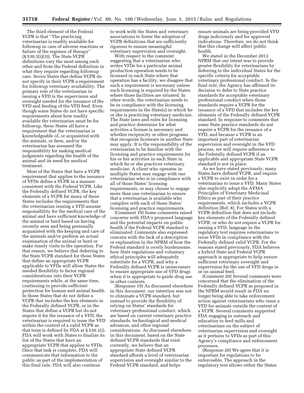The third element of the Federal VCPR is that ''The practicing veterinarian is readily available for followup in case of adverse reactions or failure of the regimen of therapy'' (§ 530.3(i)(3)). The State VCPR definitions vary the most among each other and from the Federal definition in what they require regarding followup care. Seven States that define VCPR do not specify in their VCPR a requirement for followup veterinary availability. The primary role of the veterinarian in issuing a VFD is the supervision and oversight needed for the issuance of the VFD and feeding of the VFD feed. Even though some States do not have specific requirements about how readily available the veterinarian must be for followup, these States all have a requirement that the veterinarian is knowledgeable of, or acquainted with the animals, or farm, and/or the veterinarian has assumed the responsibility for making medical judgments regarding the health of the animal and its need for medical treatment.

Most of the States that have a VCPR requirement that applies to the issuance of VFDs define a VCPR in a manner consistent with the Federal VCPR. Like the Federally defined VCPR, the key elements of a VCPR for many of these States includes the requirements that the veterinarian issuing a VFD assume responsibility for the medical care of the animal and have sufficient knowledge of the animal or herd based on having recently seen and being personally acquainted with the keeping and care of the animals and/or perform an actual examination of the animal or herd or make timely visits to the operation. For that reason, we believe that deferring to the State VCPR standard for those States that define an appropriate VCPR applicable to VFDs will allow States the needed flexibility to factor regional considerations into their VCPR requirements while, at the same time, continuing to provide sufficient protection for human and animal health. In those States that do not define a VCPR that includes the key elements in the Federally defined VCPR, or in the States that define a VCPR but do not require it for the issuance of a VFD, the veterinarian is required to issue the VFD within the context of a valid VCPR as that term is defined by FDA at § 530.1(i). FDA will work with States to finalize its list of the States that have an appropriate VCPR that applies to VFDs. Once that task is complete, FDA will communicate that information to the public as part of the implementation of this final rule. FDA will also continue

to work with the States and veterinary associations to foster the adoption of VCPR definitions that are sufficiently rigorous to ensure meaningful veterinary supervision and oversight.

With respect to the comment suggesting that a veterinarian who writes VFDs for a particular animal production operation needs to be licensed in each State where that operation has a facility, we disagree that such a requirement is necessary unless such licensing is required by the States where those facilities are situated. In other words, the veterinarian needs to be in compliance with the licensing requirements in the State(s) in which he or she is practicing veterinary medicine. The State laws and rules for licensing and practice determine for what activities a license is necessary and whether reciprocity or other programs that recognize licensure in another State may apply. It is the responsibility of the veterinarian to be familiar with the licensing and practice requirements for his or her activities in each State in which he or she practices veterinary medicine. A client who operates in multiple States may engage with one veterinarian who is in compliance with all of those States' licensing requirements, or may choose to engage more than one veterinarian to ensure that a veterinarian is available who complies with each of those States' licensing and practice requirements.

(Comment 19) Some comments raised concerns with FDA's proposed language and the potential impacts on public health if the Federal VCPR standard is eliminated. Comments also expressed concern with the lack of a description or explanation in the NPRM of how the Federal standard is overly burdensome, how State regulations and voluntary ethical principles will adequately substitute for a VCPR, and why a Federally defined VCPR is unnecessary to ensure appropriate use of VFD drugs when it is appropriate to guide drug use in other contexts.

(Response 19) As discussed elsewhere in this document, our intention was not to eliminate a VCPR standard, but instead to provide the flexibility of relying on States' standards for veterinary professional conduct, which are based on current veterinary practice standards, technological and medical advances, and other regional considerations. As discussed elsewhere in this document, based on the State defined VCPR standards that exist currently, we believe that an appropriate State defined VCPR standard affords a level of veterinarian supervision and oversight similar to the Federal VCPR standard, and helps

ensure animals are being provided VFD drugs judiciously and for approved indications. Therefore, we do not think that this change will affect public health.

We stated in the December 2013 NPRM that our intent was to provide greater flexibility for veterinarians by deferring to the individual States for the specific criteria for acceptable veterinary professional conduct. In the final rule, the Agency has affirmed its decision to defer to State practice standards for acceptable veterinary professional conduct when those standards require a VCPR for the issuance of a VFD that includes the key elements of the Federally defined VCPR standard. In response to comments that some State practice standards do not require a VCPR for the issuance of a VFD, and because a VCPR is an important part of veterinarian supervision and oversight in the VFD process, we will require adherence to the Federally defined VCPR if an applicable and appropriate State VCPR standard is not in place.

As we have stated previously, many States have defined VCPR, and require a VCPR to exist in order for a veterinarian to issue a VFD. Many States also explicitly adopt the AVMA Principles of Veterinary Medicinal Ethics as part of their practice requirements, which includes a VCPR definition (Ref. 8). For States with a VCPR definition that does not include key elements of the Federally defined VCPR, or who do not require a VCPR for issuing a VFD, language in the regulatory text requires veterinarians to issue VFDs in compliance with the Federally defined valid VCPR. For the reasons stated previously, FDA believes a hybrid State and Federal VCPR approach is appropriate to help ensure sufficient veterinary oversight and supervision for the use of VFD drugs in or on animal feed.

(Comment 20) Several comments were concerned that the elimination of the Federally defined VCPR as proposed in the NPRM would result in FDA no longer being able to take enforcement action against veterinarians who issue a VFD for animals outside the context of a VCPR. Several comments supported FDA engaging in outreach and education to feed mills and veterinarians on the subject of veterinarian supervision and oversight as it pertains to VFDs as part of this Agency's compliance and enforcement processes.

(Response 20) We agree that it is important for regulations to be enforceable. The approach in the regulatory text allows either the States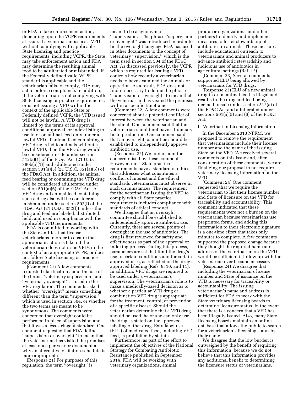or FDA to take enforcement action, depending upon the VCPR requirements at issue. If a veterinarian issues a VFD without complying with applicable State licensing and practice requirements, including VCPR, the State may take enforcement action and FDA may determine the resulting animal food to be adulterated or misbranded. If the Federally defined valid VCPR standard is applicable and the veterinarian fails to comply, FDA may act to enforce compliance. In addition, if the veterinarian is not complying with State licensing or practice requirements, or is not issuing a VFD within the context of the applicable State or Federally defined VCPR, the VFD issued will not be lawful. A VFD drug is limited by the terms of its approval, conditional approval, or index listing to use in or on animal feed only under a lawful VFD. If animal feed containing a VFD drug is fed to animals without a lawful VFD, then the VFD drug would be considered unsafe under section 512(a)(1) of the FD&C Act (21 U.S.C. 360b(a)(1)) and adulterated under section 501(a)(5) (21 U.S.C. 351(a)(5)) of the FD&C Act. In addition, the animal feed bearing or containing the VFD drug will be considered adulterated under section 501(a)(6) of the FD&C Act. A VFD drug and animal feed containing such a drug also will be considered misbranded under section 502(f) of the FD&C Act (21 U.S.C. 352(f)) unless the drug and feed are labeled, distributed, held, and used in compliance with the applicable VFD requirements.

FDA is committed to working with the State entities that license veterinarians in order to ensure that appropriate action is taken if the veterinarian does not issue VFDs in the context of an appropriate VCPR, or does not follow State licensing or practice requirements.

(Comment 21) A few comments requested clarification about the use of the terms ''veterinary supervision'' and ''veterinary oversight'' as used in the VFD regulation. The comments asked whether ''oversight'' means something different than the term ''supervision'' which is used in section 504, or whether the two terms are meant to be synonymous. The comments were concerned that oversight could be performed in place of supervision and that it was a less-stringent standard. One comment requested that FDA define ''supervision or oversight'' to mean that the veterinarian has visited the premises at least once per year or documented why an alternative visitation schedule is more appropriate.

(Response 21) For purposes of this regulation, the term ''oversight'' is

meant to be a synonym of ''supervision.'' The phrase ''supervision or oversight'' was introduced in order to tie the oversight language FDA has used in other documents to the concept of veterinary ''supervision,'' which is the term used in section 504 of the FD&C Act. As discussed previously, the VCPR which is required for issuing a VFD controls how recently a veterinarian needs to have examined the animals or operation. As a result, FDA does not find it necessary to define the phrase ''supervision or oversight'' to mean that the veterinarian has visited the premises within a specific timeframe.

(Comment 22) A few comments were concerned about a potential conflict of interest between the veterinarian and the client. One comment said that the veterinarian should not have a fiduciary tie to production. One comment said that an oversight committee should be established to independently approve antibiotic use.

(Response 22) We understand the concern raised by these comments. However, most State practice requirements have a standard of ethics that addresses what constitutes a conflict of interest and the ethical standards veterinarians must observe in such circumstances. The requirement for the veterinarian issuing the VFD to comply with all State practice requirements includes compliance with standards of ethical conduct.

We disagree that an oversight committee should be established to independently approve antibiotic use. Currently, there are several points of oversight in the use of antibiotics. The drug is first reviewed for safety and effectiveness as part of the approval or indexing process. During this process, parameters are set that limit the drug's use to certain conditions and for certain approved uses, as reflected on the drug's approved labeling (Refs. 9, 10, and 11). In addition, VFD drugs are required to be used under a veterinarian's supervision. The veterinarian's role is to make a medically-based decision as to whether a particular VFD drug or combination VFD drug is appropriate for the treatment, control, or prevention of a specific disease. Should the veterinarian determine that a VFD drug should be used, he or she can only use the drug as stated on the approved labeling of that drug. Extralabel use (ELU) of medicated feed, including VFD feed, is prohibited by statute.

Furthermore, as part of the effort to implement the objectives of the National Strategy for Combating Antibiotic Resistance published in September 2014, FDA will be working with veterinary organizations, animal

producer organizations, and other partners to identify and implement measures to foster stewardship of antibiotics in animals. These measures include educational outreach to veterinarians and animal producers to advance antibiotic stewardship and judicious use of antibiotics in agricultural settings (Ref. 12).

(Comment 23) Several comments supported ELU being allowed by veterinarians for VFD drugs.

(Response 23) ELU of a new animal drug in or on animal feed is illegal and results in the drug and feed being deemed unsafe under section 512(a) of the FD&C Act and adulterated under sections 501(a)(5) and (6) of the FD&C Act.

#### b. Veterinarian Licensing Information

In the December 2013 NPRM, we proposed to remove the requirement that veterinarians include their license number and the name of the issuing State on the VFD. We received several comments on this issue and, after consideration of these comments, we are finalizing our proposal to not require veterinary licensing information on the VFD.

(Comment 24) One comment requested that we require the veterinarian to list their license number and State of licensure on the VFD for traceability and accountability. This comment indicated that these requirements were not a burden on the veterinarian because veterinarians use preprinted forms, and adding this information to their electronic signature is a one-time effort that takes only minutes to complete. A few comments supported the proposed change because they thought the required name and address of the veterinarian on the VFD would be sufficient if follow up with the veterinarian ever became necessary.

(Response 24) We disagree that including the veterinarian's license number and State of issuance on the VFD is necessary for traceability or accountability. The issuing veterinarian's name and address is sufficient for FDA to work with the State veterinary licensing boards to determine licensure status, in the event that there is a concern that a VFD has been illegally issued. Also, many State licensing boards maintain an online database that allows the public to search for a veterinarian's licensing status by their name.

We disagree that the low burden is outweighed by the benefit of requiring this information, because we do not believe that this information provides any additional benefit to determining the licensure status of veterinarians.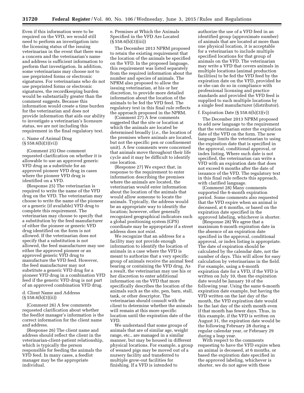Even if this information were to be required on the VFD, we would still need to perform an investigation into the licensing status of the issuing veterinarian in the event that there was a concern and the veterinarian's name and address is sufficient information to perform that investigation. In addition, some veterinarians may choose not to use preprinted forms or electronic signatures. For veterinarians who do not use preprinted forms or electronic signatures, the recordkeeping burden would be substantially greater than the comment suggests. Because this information would create a time burden for the veterinarian and does not provide information that aids our ability to investigate a veterinarian's licensure status, we are not including this requirement in the final regulatory text.

#### c. Name of Animal Drug  $(S 558.6(b)(3)(vi))$

(Comment 25) One comment requested clarification on whether it is allowable to use an approved generic VFD drug as a substitute for an approved pioneer VFD drug in cases where the pioneer VFD drug is identified on a VFD.

(Response 25) The veterinarian is required to write the name of the VFD drug on the VFD. The veterinarian may choose to write the name of the pioneer or a generic (if available) VFD drug to complete this requirement. The veterinarian may choose to specify that a substitution by the feed manufacturer of either the pioneer or generic VFD drug identified on the form is not allowed. If the veterinarian does not specify that a substitution is not allowed, the feed manufacturer may use either the approved pioneer or an approved generic VFD drug to manufacture the VFD feed. However, the feed manufacturer may not substitute a generic VFD drug for a pioneer VFD drug in a combination VFD feed if the generic VFD drug is not part of an approved combination VFD drug.

#### d. Client Name and Address (§ 558.6(b)(3)(ii))

(Comment 26) A few comments requested clarification about whether the feedlot manager's information is the correct information for the client name and address.

(Response 26) The client name and address should reflect the client in the veterinarian-client-patient relationship, which is typically the person responsible for feeding the animals the VFD feed. In many cases, a feedlot manager may be the appropriate individual.

e. Premises at Which the Animals Specified in the VFD Are Located  $(S 558.6(b)(3)(iii))$ 

The December 2013 NPRM proposed to retain the existing requirement that the location of the animals be specified on the VFD. In the proposed language, this requirement was listed separately from the required information about the number and species of animals. The NPRM also proposed to allow the issuing veterinarian, at his or her discretion, to provide more detailed information about the location of the animals to be fed the VFD feed. The regulatory text in this final rule reflects the approach proposed in the NPRM.

(Comment 27) A few comments suggested that the site or location at which the animals are located be determined broadly (*i.e.,* the location of the premises where animals are located, but not the specific pen or confinement unit). A few comments were concerned that animals move throughout their life cycle and it may be difficult to identify one location.

(Response 27) We expect that, in response to the requirement to enter information describing the premises where the animals are located, the veterinarian would enter information about the location of the animals that would allow someone to locate the animals. Typically, the address would be an appropriate way to identify the location; however, other generally recognized geographical indicators such a global positioning system (GPS) coordinate may be appropriate if a street address does not exist.

We recognize that an address for a facility may not provide enough information to identify the location of animals in a case where the VFD is meant to authorize that a very specific group of animals receive the animal feed bearing or containing the VFD drug. As a result, the veterinarian may use his or her discretion to enter additional information on the VFD that more specifically describes the location of the animals such as the site, pen, barn, stall, tank, or other descriptor. The veterinarian should consult with the client to determine whether the animals will remain at this more specific location until the expiration date of the VFD.

We understand that some groups of animals that are of similar age, weight range, etc., are managed in a similar manner, but may be housed in different physical locations. For example, a group of weaned pigs may be moved out of a nursery facility and transferred to multiple grow-out facilities for finishing. If a VFD is intended to

authorize the use of a VFD feed in an identified group (approximate number) of animals that are located at more than one physical location, it is acceptable for a veterinarian to include multiple specified locations for that group of animals on the VFD. The veterinarian may write a VFD that covers animals in multiple locations (animal production facilities) to be fed the VFD feed by the expiration date on the VFD, provided he or she can do so in compliance with professional licensing and practice standards and provided the VFD feed is supplied to such multiple locations by a single feed manufacturer (distributor).

#### f. Expiration Date  $(\S 558.6(b)(3)(v))$

The December 2013 NPRM proposed to add new language to the requirement that the veterinarian enter the expiration date of the VFD on the form. The new language limits the veterinarian to using the expiration date that is specified in the approval, conditional approval, or index listing. Where such date is not specified, the veterinarian can write a VFD with an expiration date that does not exceed 6 months after the date of issuance of the VFD. The regulatory text in this final rule reflects this approach, with clarified language.

(Comment 28) Many comments supported the 6-month expiration period. Some comments also requested that the VFD expire when an animal is deceased, at 6 months, or based on the expiration date specified in the approved labeling, whichever is shorter.

(Response 28) We agree that a maximum 6-month expiration date in the absence of an expiration date specified in the approval, conditional approval, or index listing is appropriate. The date of expiration should be calculated by the calendar date, not the number of days. This will allow for easy calculation by veterinarians in the field. For example, using a 6-month expiration date for a VFD, if the VFD is written on July 10, then the expiration date would be January 10 of the following year. Using the same 6-month expiration date example, but having the VFD written on the last day of the month, the VFD expiration date would be the last day of the sixth month even if that month has fewer days. Thus, in this example, if the VFD is written on August 31, the expiration date would be the following February 28 during a regular calendar year, or February 29 during a leap year.

With respect to the comments requesting to have the VFD expire when an animal is deceased, at 6 months, or based the expiration date specified in the approved labeling, whichever is shorter, we do not agree with these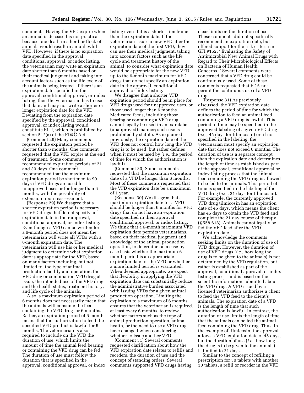comments. Having the VFD expire when an animal is deceased is not practical because one death in a herd or flock of animals would result in an unlawful VFD. However, if there is no expiration date specified in the approval, conditional approval, or index listing, the veterinarian may write an expiration date shorter than 6 months based on their medical judgment and taking into account factors such as the life cycle of the animals being treated. If there is an expiration date specified in the approval, conditional approval, or index listing, then the veterinarian has to use that date and may not write a shorter or longer expiration date for the VFD. Deviating from the expiration date specified by the approval, conditional approval, or index listing would constitute ELU, which is prohibited by section 512(a) of the FD&C Act.

(Comment 29) Many comments requested the expiration period be shorter than 6 months. One comment requested that the VFD expire at the end of treatment. Some comments recommended expiration periods of 21 and 30 days. One comment recommended that the maximum expiration period be shortened to 90 days if VFD drugs are used for unapproved uses or for longer than 6 months, with the possibility of extension upon reassessment.

(Response 29) We disagree that a shorter expiration period is necessary for VFD drugs that do not specify an expiration date in their approval, conditional approval, or index listing. Even though a VFD can be written for a 6-month period does not mean the veterinarian will write all VFDs with a 6-month expiration date. The veterinarian will use his or her medical judgment to determine what expiration date is appropriate for the VFD, based on many factors including, but not limited to, the type of animal production facility and operation, the VFD drug or combination VFD drug at issue, the intended use of the VFD drug, and the health status, treatment history, and life cycle of the animals.

Also, a maximum expiration period of 6 months does not necessarily mean that the animals will consume the feed containing the VFD drug for 6 months. Rather, an expiration period of 6 months means that the authorization to feed the specified VFD product is lawful for 6 months. The veterinarian is also required to include on the VFD the duration of use, which limits the amount of time the animal feed bearing or containing the VFD drug can be fed. The duration of use must follow the duration that is specified in the approval, conditional approval, or index

listing even if it is a shorter timeframe than the expiration date. If the veterinarian issues a new VFD after the expiration date of the first VFD, they can use their medical judgment, taking into account factors such as the life cycle and treatment history of the animal, to consider what expiration date would be appropriate for the new VFD, up to the 6-month maximum for VFD drugs that do not specify an expiration date in the approval, conditional approval, or index listing.

We disagree that a shorter VFD expiration period should be in place for VFD drugs used for unapproved uses, or those used longer than 6 months. Medicated feeds, including those bearing or containing a VFD drug, cannot legally be used in an extralabel (unapproved) manner; such use is prohibited by statute. As explained previously, the expiration date of the VFD does not control how long the VFD drug is to be used, but rather defines when it must be used by (*i.e.,* the period of time for which the authorization is lawful).

(Comment 30) Some comments requested that the maximum expiration date of a VFD be longer than 6 months. Most of these comments requested that the VFD expiration date be a maximum of 1 year.

(Response 30) We disagree that a maximum expiration date for a VFD should be longer than 6 months for VFD drugs that do not have an expiration date specified in their approval, conditional approval, or index listing. We think that a 6-month maximum VFD expiration date permits veterinarians, based on their medical judgment and knowledge of the animal production operation, to determine on a case-by case basis whether the maximum 6 month period is an appropriate expiration date for the VFD or whether a more limited period is warranted. When deemed appropriate, we expect that flexibility in applying the VFD expiration date can substantially reduce the administrative burden associated with issuing VFDs for a given animal production operation. Limiting the expiration to a maximum of 6 months ensures that the veterinarian is required, at least every 6 months, to review whether factors such as the type of animal production operation, animal health, or the need to use a VFD drug have changed when considering whether to issue another VFD.

(Comment 31) Several comments requested clarification about how the VFD expiration date relates to refills and reorders, the duration of use and the concept of standing orders. Several comments supported VFD drugs having

clear limits on the duration of use. These comments did not specifically recommend an expiration date, but offered support for the risk criteria in GFI #152, ''Evaluating the Safety of Antimicrobial New Animal Drugs with Regard to Their Microbiological Effects on Bacteria of Human Health Concerns.'' Several comments were concerned that a VFD drug could be continuously used. Some of these comments requested that FDA not permit the continuous use of a VFD drug.

(Response 31) As previously discussed, the VFD expiration date defines the period of time for which the authorization to feed an animal feed containing a VFD drug is lawful. This period of time may be specified in the approved labeling of a given VFD drug (*e.g.,* 45 days for tilmicosin) or, if not specified in the labeling, the veterinarian must specify an expiration date that does not exceed 6 months. The duration of use is a separate concept than the expiration date and determines the length of time as established as part of the approval, conditional approval or index listing process that the animal feed containing the VFD drug is allowed to be fed to the animals. This period of time is specified in the labeling of the VFD drug (*e.g.,* 21 days for tilmicosin). For example, the currently approved VFD drug tilmicosin has an expiration date of 45 days, which means the client has 45 days to obtain the VFD feed and complete the 21 day course of therapy (§ 558.618). Animals cannot legally be fed the VFD feed after the VFD expiration date.

We acknowledge the comments seeking limits on the duration of use of VFD drugs. However, the duration of use of VFD drugs (*i.e.,* how long the drug is to be given to the animals) is not determined by the VFD regulation, but rather is established as part of the approval, conditional approval, or index listing process and is based on the scientific information submitted about the VFD drug. A VFD issued by a licensed veterinarian authorizes a client to feed the VFD feed to the client's animals. The expiration date of a VFD is the length of time that such authorization is lawful. In contrast, the duration of use limits the length of time that the animals can be fed the animal feed containing the VFD drug. Thus, in the example of tilmicosin, the approval allows a VFD expiration date of 45 days, but the duration of use (*i.e.,* how long the drug is to be given to the animals) is limited to 21 days.

Similar to the concept of refilling a prescription for 30 tablets with another 30 tablets, a refill or reorder in the VFD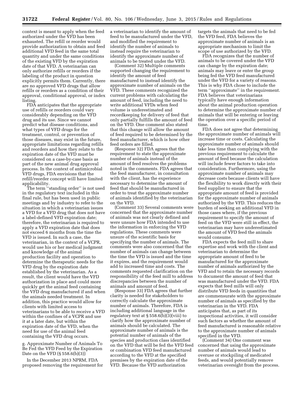context is meant to apply when the feed authorized under the VFD has been exhausted. The refill or reorder would provide authorization to obtain and feed additional VFD feed in the same total quantity and under the same conditions of the existing VFD by the expiration date of that VFD. A veterinarian can only authorize refills or reorders if the labeling of the product in question explicitly permits them. Currently, there are no approved VFD drugs that allow refills or reorders as a condition of their approval, conditional approval, or index listing.

FDA anticipates that the appropriate use of refills or reorders could vary considerably depending on the VFD drug and its use. Since we cannot predict what disease conditions, and what types of VFD drugs for the treatment, control, or prevention of those diseases, may exist in the future, appropriate limitations regarding refills and reorders and how they relate to the expiration date of the VFD must be considered on a case-by-case basis as part of the new animal drug approval process. In the context of antimicrobial VFD drugs, FDA envisions that the refill/reorder concept will have limited applicability.

The term ''standing order'' is not used in the regulatory text included in this final rule, but has been used in public meetings and by industry to refer to the situation in which a veterinarian issues a VFD for a VFD drug that does not have a label-defined VFD expiration date; therefore, the veterinarian is required to apply a VFD expiration date that does not exceed 6 months from the time the VFD is issued. In such a case, the veterinarian, in the context of a VCPR, would use his or her medical judgment and knowledge of the animal production facility and operation to determine the therapeutic needs for the VFD drug by the expiration date established by the veterinarian. As a result, the client would have the VFD authorization in place and could more quickly get the animal feed containing the VFD drug manufactured if and when the animals needed treatment. In addition, this practice would allow for clients with limited access to veterinarians to be able to receive a VFD within the confines of a VCPR and use it at a later date, but within the expiration date of the VFD, when the need for use of the animal feed containing the VFD drug occurs.

g. Approximate Number of Animals To Be Fed the VFD Feed by the Expiration Date on the VFD (§ 558.6(b)(3))

In the December 2013 NPRM, FDA proposed removing the requirement for

a veterinarian to identify the amount of feed to be manufactured under the VFD, and modified the requirement to identify the number of animals to instead require the veterinarian to identify the approximate number of animals to be treated under the VFD.

(Comment 32) Multiple comments supported changing the requirement to identify the amount of feed manufactured to instead identify the approximate number of animals on the VFD. These comments recognized the current problems with calculating the amount of feed, including the need to write additional VFDs when feed volume is underestimated and recordkeeping for delivery of feed that only partially fulfills the amount of feed on the VFD. One comment also stated that this change will allow the amount of feed required to be determined by the feed manufacturer, which is how other feed orders are filled.

(Response 32) FDA agrees that the requirement to state the approximate number of animals instead of the amount of feed resolves the problems noted in the comments. FDA agrees that the feed manufacturer, in consultation with the client, has the experience necessary to determine the amount of feed that should be manufactured in order to treat the approximate number of animals identified by the veterinarian on the VFD.

(Comment 33) Several comments were concerned that the approximate number of animals was not clearly defined and were unsure how FDA intended to use the information in enforcing the VFD regulations. These comments were unsure of the scientific basis for specifying the number of animals. The comments were also concerned that the number of animals can change between the time the VFD is issued and the time it expires, and the requirement would add to increased time and costs. The comments requested clarification on the responsibility of the feed mill to address discrepancies between the number of animals and amount of feed.

(Response 33) FDA agrees that further clarity is needed for stakeholders to correctly calculate the approximate number of animals. Therefore, FDA is including additional language in the regulatory text at § 558.6(b)(3)(viii) to clarify how the approximate number of animals should be calculated. The approximate number of animals is the potential number of animals of the species and production class identified on the VFD that will be fed the VFD feed or combination VFD feed manufactured according to the VFD at the specified premises by the expiration date of the VFD. Because the VFD authorization

targets the animals that need to be fed the VFD feed, FDA believes the approximate number of animals is an appropriate mechanism to limit the scope of use authorized by the VFD.

FDA recognizes that the number of animals to be covered under the VFD can change by the expiration date; animals may leave or enter the group being fed the VFD feed manufactured under the VFD for a variety of reasons. This is why FDA chose to include the term ''approximate'' in the requirement. FDA believes that veterinarians typically have enough information about the animal production operation to determine the approximate number of animals that will be entering or leaving the operation over a specific period of time.

FDA does not agree that determining the approximate number of animals will increase time or costs. Calculating the approximate number of animals should take less time than complying with the previous requirement to calculate the amount of feed because the calculation will include fewer factors to take into consideration. Furthermore, using the approximate number of animals may decrease costs because clients will have the flexibility to work directly with their feed supplier to ensure that the appropriate amount of feed is provided for the approximate number of animals authorized by the VFD. This reduces the burden of seeking an additional VFD in those cases where, if the previous requirement to specify the amount of feed on the VFD were still in effect, the veterinarian may have underestimated the amount of VFD feed the animals would consume.

FDA expects the feed mill to share expertise and work with the client and veterinarian to determine the appropriate amount of feed to be manufactured for the approximate number of animals authorized by the VFD and to retain the necessary records to document the amount of feed that was manufactured under the VFD. FDA expects that feed mills will only distribute VFD feeds in quantities that are commensurate with the approximate number of animals as specified by the veterinarian in the VFD. FDA anticipates that, as part of its inspectional activities, it will consider such factors as whether the amount of feed manufactured is reasonable relative to the approximate number of animals specified in the VFD.

(Comment 34) One comment was concerned that using the approximate number of animals would lead to overuse or stockpiling of medicated feeds, and would potentially remove veterinarian oversight from the process.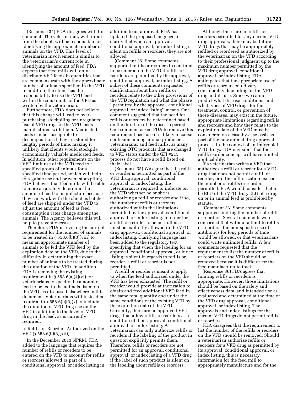(Response 34) FDA disagrees with this comment. The veterinarian, with input from the client, will be responsible for identifying the approximate number of animals on the VFD. This level of veterinarian involvement is similar to the veterinarian's current role in identifying the amount of feed. FDA expects that feed mills will only distribute VFD feeds in quantities that are commensurate with the approximate number of animals specified in the VFD. In addition, the client has the responsibility to use the VFD feed within the constraints of the VFD as written by the veterinarian.

Furthermore, FDA does not believe that this change will lead to overpurchasing, stockpiling or unregulated use of VFD drugs or the VFD feeds manufactured with them. Medicated feeds can be susceptible to decomposition if they are stored for lengthy periods of time, making it unlikely that clients would stockpile economically valuable medicated feeds. In addition, other requirements on the VFD limit use of the VFD feed to a specified group of animals for a specified time period, which will help to regulate use and prevent stockpiling. FDA believes that feed mills will be able to more accurately determine the amount of feed to manufacture because they can work with the client as batches of feed are shipped under the VFD to adjust the amount of feed as feed consumption rates change among the animals. The Agency believes this will help to prevent overuse.

Therefore, FDA is revising the current requirement for the number of animals to be treated in  $\S 558.6(b)(3)(viii)$  to mean an approximate number of animals to be fed the VFD feed by the expiration date on the VFD, due to the difficulty in determining the exact number of animals to be treated during the duration of the VFD. In addition, FDA is removing the existing requirement in  $\S 558.6(a)(4)(vi)$  for veterinarians to specify the amount of feed to be fed to the animals listed on the VFD, as discussed elsewhere in this document. Veterinarians will instead be required in  $\S 558.6(b)(3)(x)$  to include the duration of VFD drug use on the VFD in addition to the level of VFD drug in the feed, as is currently required.

#### h. Refills or Reorders Authorized on the VFD (§ 558.6(b)(3)(xii))

In the December 2013 NPRM, FDA added to the language that requires the number of refills or reorders to be entered on the VFD to account for refills or reorders allowed as part of a conditional approval, or index listing in

addition to an approval. FDA has updated the proposed language to clarify that when an approval, conditional approval, or index listing is silent on refills or reorders, they are not allowed.

(Comment 35) Some comments supported refills or reorders to continue to be entered on the VFD if refills or reorders are permitted by the approval, conditional approval, or index listing. A subset of these comments requested clarification about how refills or reorders relate to the other provisions of the VFD regulation and what the phrase ''permitted by the approval, conditional approval, or index listing'' means. One comment suggested that the need for refills or reorders be determined based on the duration of the disease period. One comment asked FDA to remove this requirement because it is likely to cause confusion among animal producers, veterinarians, and feed mills, as many existing OTC products that are changed to VFD status under the GFI #213 process do not have a refill listed on their label.

(Response 35) We agree that if a refill or reorder is permitted as part of the VFD drug approval, conditional approval, or index listing, the veterinarian is required to indicate on the VFD whether he or she is authorizing a refill or reorder and if so, the number of refills or reorders authorized within the limitations permitted by the approval, conditional approval, or index listing. In order for a refill or reorder to be permitted, it must be explicitly allowed in the VFD drug approval, conditional approval, or index listing. Clarifying language has been added to the regulatory text specifying that when the labeling for an approval, conditional approval, or index listing is silent in regards to refills or reorder, a refill or reorder is not permitted.

A refill or reorder is meant to apply to when the feed authorized under the VFD has been exhausted. The refill or reorder would provide authorization to obtain and feed additional VFD feed in the same total quantity and under the same conditions of the existing VFD by the expiration date of the VFD. Currently, there are no approved VFD drugs that allow refills or reorders as a condition of their approval, conditional approval, or index listing. A veterinarian can only authorize refills or reorders if the labeling of the product in question explicitly permits them. Therefore, refills or reorders are not permitted for an approval, conditional approval, or index listing of a VFD drug if the label of such product is silent on the labeling about refills or reorders.

Although there are no refills or reorders permitted for any current VFD drug approvals, there may be future VFD drugs that may be appropriately refilled or reordered as authorized by the veterinarian on the VFD according to their professional judgment up to the maximum number permitted by the VFD drug approval, conditional approval, or index listing. FDA anticipates that the appropriate use of refills or reorders could vary considerably depending on the VFD drug and its use. Since we cannot predict what disease conditions, and what types of VFD drugs for the treatment, control, or prevention of those diseases, may exist in the future, appropriate limitations regarding refills and reorders and how they relate to the expiration date of the VFD must be considered on a case-by-case basis as part of the new animal drug approval process. In the context of antimicrobial VFD drugs, FDA envisions that the refill/reorder concept will have limited applicability.

If a veterinarian writes a VFD that authorizes a refill or reorder for a VFD drug that does not permit a refill or reorder, or if the authorization exceeds the number of refills or reorders permitted, FDA would consider that to be ELU of the VFD drug. ELU of a drug on or in animal feed is prohibited by statute.

(Comment 36) Some comments supported limiting the number of refills or reorders. Several comments were concerned that without a limit to refills or reorders, the non-specific use of antibiotics for long periods of time would be allowed, or that veterinarians could write unlimited refills. A few comments requested that the requirement to list the number of refills or reorders on the VFD should be removed because it is difficult for the feed manufacturer to track.

(Response 36) FDA agrees that limiting refills or reorders is appropriate. However, those limitations should be based on the safety and effectiveness data, and intended use as evaluated and determined at the time of the VFD drug approval, conditional approval, or index listing. The approvals and index listings for the current VFD drugs do not permit refills or reorders.

FDA disagrees that the requirement to list the number of the refills or reorders on the VFD should be removed. Should a veterinarian authorize refills or reorders for a VFD drug as permitted by its approval, conditional approval, or index listing, this is necessary information for the feed mill to appropriately manufacture and for the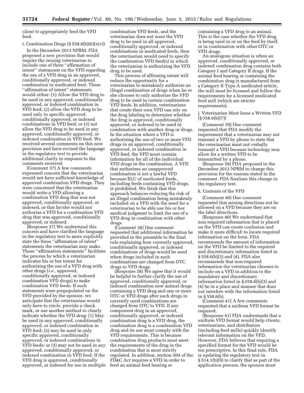client to appropriately feed the VFD feed.

#### i. Combination Drugs  $(\S 558.6(b)(6)(xiv))$

In the December 2013 NPRM, FDA proposed a new provision that would require the issuing veterinarian to include one of three ''affirmation of intent'' statements on the VFD regarding the use of a VFD drug in an approved, conditionally approved, or indexed combination in medicated feed. These ''affirmation of intent'' statements would either: (1) Allow the VFD drug to be used in any approved, conditionally approved, or indexed combination in VFD feed; (2) allow the VFD drug to be used only in specific approved, conditionally approved, or indexed combinations in VFD feed; or (3) not allow the VFD drug to be used in any approved, conditionally approved, or indexed combination in VFD feed. We received several comments on this new provision and have revised the language in the regulatory text to provide additional clarity in response to the comments received.

(Comment 37) A few comments expressed concern that the veterinarian would not have sufficient knowledge of approved combination VFD drugs. They were concerned that the veterinarian would write a VFD allowing a combination VFD drug that was not approved, conditionally approved, or indexed, or that he/she would not authorize a VFD for a combination VFD drug that was approved, conditionally approved, or indexed.

(Response 37) We understand this concern and have clarified the language in the regulatory text to more explicitly state the three ''affirmation of intent'' statements the veterinarian may make. These ''affirmation statements'' facilitate the process by which a veterinarian indicates his or her intent for authorizing the use of a VFD drug with other drugs (*i.e.,* approved, conditionally approved, or indexed combination VFD drugs) to make combination VFD feeds. If such statements were prepopulated on the VFD provided by the sponsor, we anticipate that the veterinarian would only have to circle, provide a check mark, or use another method to clearly indicate whether the VFD drug: (1) May be used in any approved, conditionally approved, or indexed combination in VFD feed; (2) may be used in only specific approved, conditionally approved, or indexed combinations in VFD feeds; or (3) may not be used in any approved, conditionally approved, or indexed combination in VFD feed. If the VFD drug is approved, conditionally approved, or indexed for use in multiple combination VFD feeds, and the veterinarian does not want the VFD drug to be used in all approved, conditionally approved, or indexed combinations in medicated feeds, then the veterinarian would need to specify the combination VFD feed(s) in which the veterinarian is authorizing the VFD drug to be used.

This process of affirming intent will reduce the opportunity for a veterinarian to mistakenly authorize an illegal combination of drugs when he or she chooses to only authorize the VFD drug to be used in certain combination VFD feeds. In addition, veterinarians that create their own VFD can rely on the drug labeling to determine whether the drug is approved, conditionally approved, or indexed to be used in combination with another drug or drugs. In the situation where a VFD is authorizing the use of two or more VFD drugs in an approved, conditionally approved, or indexed combination in VFD feed, the VFD must contain information for all of the individual VFD drugs in the combination. A VFD that authorizes an unapproved combination is not a lawful VFD because ELU of medicated feeds, including feeds containing VFD drugs, is prohibited. We think that this approach balances reducing the risk of an illegal combination being mistakenly included on a VFD with the need for a veterinarian to be able use his or her medical judgment to limit the use of a VFD drug in combination with other drugs.

(Comment 38) One comment requested that additional information be provided in the preamble to the final rule explaining how currently approved, conditionally approved, or indexed combinations of drugs would be used when drugs included in such combinations are changed from OTC drugs to VFD drugs.

(Response 38) We agree that it would be helpful to further clarify the use of approved, conditionally approved, or indexed combination new animal drugs containing a VFD drug and one or more OTC or VFD drugs after such drugs in currently used combinations are changed from OTC to VFD. If any component drug in an approved, conditionally approved, or indexed combination drug is a VFD drug, the combination drug is a combination VFD drug and its use must comply with the VFD requirements. This is because combination drug products must meet the requirements of the drug in the combination that is most strictly regulated. In addition, section 504 of the FD&C Act requires a VFD in order to feed an animal feed bearing or

containing a VFD drug to an animal. This is the case whether the VFD drug is being used in or on the feed by itself, or in combination with other OTC or VFD drugs.

An analogous situation is when an approved, conditionally approved, or indexed combination drug contains both Category I and Category II drugs. If the animal feed bearing or containing the combination drug is manufactured from a Category II Type A medicated article, the mill must be licensed and follow the requirements for a licensed medicated feed mill (which are stricter requirements).

j. Veterinarian Must Issue a Written VFD  $(S 558.6(b)(7))$ 

(Comment 39) One comment requested that FDA modify the requirement that a veterinarian may not transmit a VFD by phone to state that the veterinarian must not verbally transmit a VFD because technology may allow for a written VFD to be transmitted by a phone.

(Response 39) FDA proposed in the December 2013 NPRM to change this provision for the reasons stated in the comment. FDA finalizes this change in the regulatory text.

#### k. Contents of the VFD

(Comment 40) One comment requested that mixing directions not be allowed on a VFD because they are on the label directions.

(Response 40) We understand that non-required information that is placed on the VFD can create confusion and make it more difficult to locate required information on the form. FDA recommends the amount of information on the VFD be limited to the required and discretionary information listed in § 558.6(b)(3) and (4). FDA also recommends that non-required information the veterinarian chooses to include on a VFD in addition to the mandatory and discretionary information listed in § 558.6(b)(3) and (4) be in a place and manner that does not interfere with the information listed in § 558.6(b).

(Comment 41) A few comments requested that a uniform VFD format be required.

(Response 41) FDA understands that a uniform VFD format would help clients, veterinarians, and distributors (including feed mills) quickly identify relevant information on the VFD. However, FDA believes that requiring a specified format for the VFD would be too prescriptive. In this final rule, FDA is updating the regulatory text in § 514.1(b)(9) to clarify that as part of the application process, the sponsor must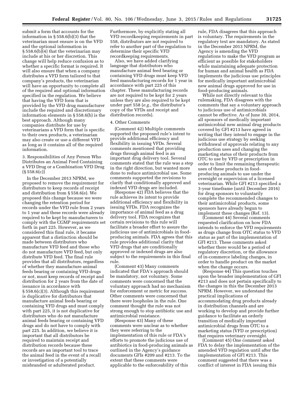submit a form that accounts for the information in § 558.6(b)(3) that the veterinarian must ensure is on the VFD and the optional information in § 558.6(b) $\hat{A}$  that the veterinarian may include at his or her discretion. This change will help reduce confusion as to whether a specific format is required. It will also ensure that when a company distributes a VFD form tailored to that company's products, the veterinarian will have an opportunity to complete all of the required and optional information specified in the regulation. We believe that having the VFD form that is provided by the VFD drug manufacturer include the required and discretionary information elements in § 558.6(b) is the best approach. Although many companies distribute for use by veterinarians a VFD form that is specific to their own products, a veterinarian may also create or use a different VFD as long as it contains all of the required information.

3. Responsibilities of Any Person Who Distributes an Animal Feed Containing a VFD Drug or a Combination VFD Drug  $(S 558.6(c))$ 

In the December 2013 NPRM, we proposed to remove the requirement for distributors to keep records of receipt and distribution from § 558.6(e). We proposed this change because we were changing the retention period for records under the VFD rule from 2 years to 1 year and these records were already required to be kept by manufacturers to comply with the CGMP requirements set forth in part 225. However, as we considered this final rule, it became apparent that a distinction should be made between distributors who manufacture VFD feed and those who do not manufacture VFD feed, but only distribute VFD feed. The final rule provides that all distributors, regardless of whether they manufacture animal feeds bearing or containing VFD drugs or not, must keep records of receipt and distribution for 2 years from the date of issuance in accordance with § 558.6(c)(3). Although this requirement is duplicative for distributors that manufacture animal feeds bearing or containing VFD drugs and must comply with part 225, it is not duplicative for distributors who do not manufacture animal feeds bearing or containing VFD drugs and do not have to comply with part 225. In addition, we believe it is important that all distributors be required to maintain receipt and distribution records because these records are an important tool to trace the animal feed in the event of a recall or investigation of a potentially misbranded or adulterated product.

Furthermore, by explicitly stating all VFD recordkeeping requirements in part 558, distributors are not required to refer to another part of the regulation to determine their specific VFD recordkeeping requirements.

Also, we have added clarifying language that distributors who manufacture animal feed bearing or containing VFD drugs must keep VFD feed manufacturing records for 1 year in accordance with part 225 of this chapter. These manufacturing records are not required to be kept for 2 years unless they are also required to be kept under part 558 (*e.g.,* the distributor's copy of the VFDs and receipt and distribution records).

#### 4. Other Comments

(Comment 42) Multiple comments supported the proposed rule's intent to provide additional efficiency and flexibility in issuing VFDs. Several comments mentioned that providing drugs through animal feed is an important drug delivery tool. Several comments stated that the rule was a step in the right direction, but wanted more done to reduce antimicrobial use. Some comments supported the revisions to clarify that conditionally approved and indexed VFD drugs are included.

(Response 42) FDA believes that the rule achieves its intent to provide additional efficiency and flexibility in issuing VFDs. FDA recognizes the importance of animal feed as a drug delivery tool. FDA recognizes that certain revisions to this rule will facilitate a broader effort to assure the judicious use of antimicrobials in foodproducing animals. FDA agrees that this rule provides additional clarity that VFD drugs that are conditionally approved or indexed drugs are also subject to the requirements in this final rule.

(Comment 43) Many comments indicated that FDA's approach should be mandatory, not voluntary. Some comments were concerned that the voluntary approach had no mechanism for enforcement or metric for success. Other comments were concerned that there were loopholes in the rule. One comment thought the rule was not strong enough to stop antibiotic use and antimicrobial resistance.

(Response 43) Many of these comments were unclear as to whether they were referring to the implementation of this rule or FDA's efforts to promote the judicious use of antibiotics in food-producing animals as outlined in the Agency's guidance documents GFIs #209 and #213. To the extent that these comments were applicable to the enforceability of this

rule, FDA disagrees that this approach is voluntary. The requirements in the regulatory text are mandatory. As stated in the December 2013 NPRM, the Agency is amending the VFD regulations to make the VFD program as efficient as possible for stakeholders while maintaining adequate protection for human and animal health as FDA implements the judicious use principles for medically important antimicrobial new animal drugs approved for use in food-producing animals.

While not directly relevant to this rulemaking, FDA disagrees with the comments that say a voluntary approach to judicious use of antimicrobials cannot be effective. As of June 30, 2014, all sponsors of medically important antimicrobial new animal drug products covered by GFI #213 have agreed in writing that they intend to engage in the judicious use strategy by seeking withdrawal of approvals relating to any production uses and changing the marketing status of their products from OTC to use by VFD or prescription in order to limit the remaining therapeutic uses of these products in foodproducing animals to use under the oversight or supervision of a licensed veterinarian. While GFI #213 specified a 3-year timeframe (until December 2016) for drug sponsors to voluntarily complete the recommended changes to their antimicrobial products, some sponsors have already begun to implement these changes (Ref. 13).

(Comment 44) Several comments requested clarification on how FDA intends to enforce the VFD requirements as drugs change from OTC status to VFD status as part of the implementation of GFI #213. These comments asked whether there would be a period of regulatory discretion, or the allowance of in-commerce labeling changes, in order to handle product on the market when the change occurs.

(Response 44) This question touches upon the broader implementation of GFI #213 and does not pertain specifically to the changes in this the December 2013 NPRM. However, we understand the practical implications of accommodating drug products already in distribution channels and are working to develop and provide further guidance to facilitate an orderly transition of medically important antimicrobial drugs from OTC to a marketing status (VFD or prescription) that requires veterinary oversight.

(Comment 45) One comment asked FDA to delay the implementation of the amended VFD regulation until after the implementation of GFI #213. This comment suggested that there was a conflict of interest in FDA issuing this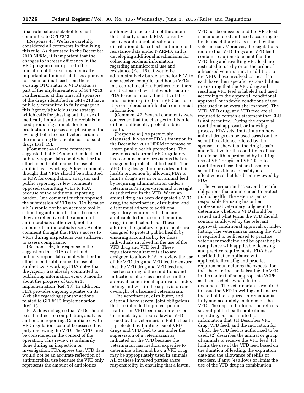final rule before stakeholders had committed to GFI #213.

(Response 45) We have carefully considered all comments in finalizing this rule. As discussed in the December 2013 NPRM, it is important that the changes to increase efficiency in the VFD program occur prior to the transition of the existing medically important antimicrobial drugs approved for use in animal feed from their existing OTC status to VFD status as part of the implementation of GFI #213. Furthermore, at this time, all sponsors of the drugs identified in GFI #213 have publicly committed to fully engage in this Agency's judicious use strategy which calls for phasing out the use of medically important antimicrobials in food-producing animals for food production purposes and phasing in the oversight of a licensed veterinarian for the remaining therapeutic uses of such drugs (Ref. 13).

(Comment 46) Some comments suggested that FDA should collect and publicly report data about whether the effort to end subtherapeutic use of antibiotics is working. A few comments thought that VFDs should be submitted to FDA for compilation, analysis, and public reporting. A few comments opposed submitting VFDs to FDA because of the additional reporting burden. One comment further opposed the submission of VFDs to FDA because VFDs would not be an accurate tool in estimating antimicrobial use because they are reflective of the amount of antimicrobials authorized, not the amount of antimicrobials used. Another comment thought that FDA's access to VFDs during inspections was sufficient to assess compliance.

(Response 46) In response to the suggestion that FDA collect and publicly report data about whether the effort to end subtherapeutic use of antibiotics is working, FDA notes that the Agency has already committed to publishing information every 6 months about the progress of GFI #213 implementation (Ref. 13). In addition, FDA provides ongoing updates on its Web site regarding sponsor actions related to GFI #213 implementation (Ref. 13).

FDA does not agree that VFDs should be submitted for compilation, analysis and public reporting. Compliance with VFD regulations cannot be assessed by only reviewing the VFD. The VFD must be considered in the context of the operation. This review is ordinarily done during an inspection or investigation. FDA agrees that VFD data would not be an accurate reflection of antimicrobial use because the VFD only represents the amount of antibiotics

authorized to be used, not the amount that actually is used. FDA currently receives antimicrobial sales and distribution data, collects antimicrobial resistance data under NARMS, and is developing additional mechanisms for collecting on-farm information regarding antimicrobial use and resistance (Ref. 15). It would be administratively burdensome for FDA to also receive, compile, and house VFDs in a central location. Furthermore, there are disclosure laws that would require FDA to redact most, if not all, of the information required on a VFD because it is considered confidential commercial information.

(Comment 47) Several comments were concerned that the changes to this rule did not sufficiently protect public health.

(Response 47) As previously discussed, it was not FDA's intention in the December 2013 NPRM to remove or lessen public health protections. The previous and current VFD regulatory text contains many provisions that are designed to protect public health. The VFD drug designation provides public health protection by allowing FDA to limit a drug's use in or on animal feed by requiring administration under a veterinarian's supervision and oversight as authorized in the VFD. When an animal drug has been designated a VFD drug, the veterinarian, distributor, and client must adhere to additional regulatory requirements than are applicable to the use of other animal drugs in medicated feed. These additional regulatory requirements are designed to protect public health by ensuring accountability for those individuals involved in the use of the VFD drug and VFD feed. These regulatory requirements also are designed to allow FDA to review the use of the VFD drug and VFD feed to ensure that the VFD drug and VFD feed are used according to the conditions and indications of use as specified in the approval, conditional approval or index listing, and within the supervision and oversight of a licensed veterinarian.

The veterinarian, distributor, and client all have several joint obligations that are intended to protect public health. The VFD feed may only be fed to animals by or upon a lawful VFD issued by the veterinarian. Public health is protected by limiting use of VFD drugs and VFD feed to use under the supervision of a veterinarian as indicated on the VFD because the veterinarian has medical expertise to determine when and how a VFD drug may be appropriately used in animals. All of these involved parties share responsibility in ensuring that a lawful

VFD has been issued and the VFD feed is manufactured and used according to the terms of the VFD as issued by the veterinarian. Moreover, the regulations require that VFD drugs and VFD feed contain a caution statement that the VFD drug and resulting VFD feed are restricted to use by or on the order of a licensed veterinarian. In addition to the VFD, these involved parties also each have their specific responsibilities in ensuring that the VFD drug and resulting VFD feed is labeled and used according to the approval, conditional approval, or indexed conditions of use (not used in an extralabel manner). The VFD, VFD drug, and VFD feed are all required to contain a statement that ELU is not permitted. During the approval, conditional approval, or indexing process, FDA sets limitations on how animal drugs can be used based on the scientific evidence offered by the sponsor to show that the drug is safe and effective for the conditions of use. Public health is protected by limiting use of VFD drugs and VFD feed to conditions of use that are based on scientific evidence of safety and effectiveness that has been reviewed by FDA.

The veterinarian has several specific obligations that are intended to protect public health. The veterinarian is responsible for using his or her professional veterinary judgment to determine whether a VFD should be issued and what terms the VFD should contain as allowed by the relevant approval, conditional approval, or index listing. The veterinarian issuing the VFD is required to be licensed to practice veterinary medicine and be operating in compliance with applicable licensing and practice requirements. FDA has clarified that compliance with applicable licensing and practice requirements includes the expectation that the veterinarian is issuing the VFD in the context of an appropriate VCPR as discussed elsewhere in this document. The veterinarian is required to issue the VFD in writing and ensure that all of the required information is fully and accurately included on the VFD. The required information reflects several public health protections including, but not limited to information that: (1) Describes VFD drug, VFD feed, and the indication for which the VFD feed is authorized to be used; (2) describes the animal or group of animals to receive the VFD feed; (3) limits the use of the VFD feed based on the duration of feeding, the expiration date and the allowance of refills or reorders, if any; (4) allows or limits the use of the VFD drug in combination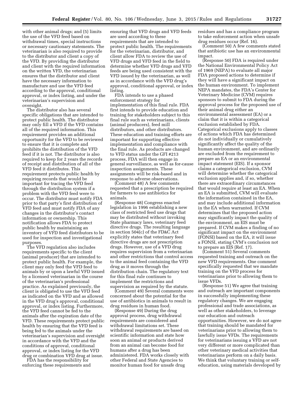with other animal drugs; and (5) limits the use of the VFD feed based on withdrawal times, special instructions or necessary cautionary statements. The veterinarian is also required to provide to the distributor and client a copy of the VFD. By providing the distributor and client with the required information on the written VFD, the veterinarian ensures that the distributor and client have the necessary information to manufacture and use the VFD feed according to the approval, conditional approval, or index listing, and under the veterinarian's supervision and oversight.

The distributor also has several specific obligations that are intended to protect public health. The distributor may only fill a VFD if the VFD contains all of the required information. This requirement provides an additional opportunity for the VFD to be reviewed to ensure that it is complete and prohibits the distribution of the VFD feed if it is not. The distributor is also required to keep for 2 years the records of receipt and distribution of all of the VFD feed it distributes. This requirement protects public health by requiring records that would be important for tracing the VFD feed through the distribution system if a problem with the VFD feed were to occur. The distributor must notify FDA prior to that party's first distribution of VFD feed and must notify FDA of any changes in the distributor's contact information or ownership. This notification allows FDA to protect public health by maintaining an inventory of VFD feed distributors to be used for inspection and investigational purposes.

The VFD regulation also includes requirements specific to the client (animal producer) that are intended to protect public health. For example, the client may only feed the VFD feed to animals by or upon a lawful VFD issued by a licensed veterinarian in the course of the veterinarian's professional practice. As explained previously, the client is obligated to use the VFD feed as indicated on the VFD and as allowed in the VFD drug's approval, conditional approval, or index listing. Furthermore, the VFD feed cannot be fed to the animals after the expiration date of the VFD. These requirements protect public health by ensuring that the VFD feed is being fed to the animals under the veterinarian's supervision and oversight in accordance with the VFD and the conditions of approval, conditional approval, or index listing for the VFD drug or combination VFD drug at issue.

FDA has the responsibility for enforcing these requirements and

ensuring that VFD drugs and VFD feeds are used according to these requirements that are intended to protect public health. The requirements for the veterinarian, distributor, and client allow FDA to review the use of VFD drugs and VFD feed in the field to determine whether VFD drugs and VFD feeds are being used consistent with the VFD issued by the veterinarian, as well as in accordance with the VFD drug's approval, conditional approval, or index listing.

FDA intends to use a phased enforcement strategy for implementation of this final rule. FDA first intends to provide education and training for stakeholders subject to this final rule such as veterinarians, clients (animal producers), feed mill distributors, and other distributors. These education and training efforts are important for supporting effective implementation and compliance with the final rule. As products are changed to VFD status under the GFI #213 process, FDA will then engage in general surveillance, as well as for-cause inspection assignments. These assignments will be risk-based and in response to adverse observations.

(Comment 48) A few comments requested that a prescription be required for farmers to use antibiotics for animals.

(Response 48) Congress enacted legislation in 1996 establishing a new class of restricted feed use drugs that may be distributed without invoking State pharmacy laws, veterinary feed directive drugs. The resulting language in section 504(c) of the FD&C Act explicitly states that veterinary feed directive drugs are not prescription drugs. However, use of a VFD drug requires supervision from a veterinarian and other restrictions that control access to the animal feed containing the VFD drug as it moves through the distribution chain. The regulatory text for this final rule continues to implement the restrictions and supervision as required by the statute.

(Comment 49) Several comments were concerned about the potential for the use of antibiotics in animals to result in drug residues in human food.

(Response 49) During the drug approval process, drug withdrawal requirements are considered and withdrawal limitations set. These withdrawal requirements are based on scientific information and state how soon an animal or products derived from an animal can become food for humans after a drug has been administered. FDA works closely with other Federal and State Agencies to monitor human food for unsafe drug

residues and has a compliance program to take enforcement action when unsafe drug residues occur (Ref. 16).

(Comment 50) A few comments stated that antibiotic use has an environmental impact.

(Response 50) FDA is required under the National Environmental Policy Act of 1969 (NEPA) to evaluate all major FDA proposed actions to determine if they will have a significant impact on the human environment. To implement NEPA mandates, the FDA's Center for Veterinary Medicine (CVM) requires sponsors to submit to FDA during the approval process for the proposed use of their animal drug either an environmental assessment (EA) or a claim that it is within a categorical exclusion established by FDA. Categorical exclusions apply to classes of actions which FDA has determined do not individually or cumulatively significantly affect the quality of the human environment, and are ordinarily are excluded from the requirement to prepare an EA or an environmental impact statement (EIS). If a sponsor claims a categorical exclusion, CVM will determine whether the categorical exclusion applies and, if so, whether there are extraordinary circumstances that would require at least an EA. When an EA is submitted, CVM will evaluate the information contained in the EA, and may include additional information in the EA when warranted. If CVM determines that the proposed action may significantly impact the quality of the environment, an EIS must be prepared. If CVM makes a finding of no significant impact on the environment (FONSI) based on the EA, it will issue a FONSI, stating CVM's conclusion not to prepare an EIS (Ref. 17).

(Comment 51) Several comments requested training and outreach on the new VFD requirements. One comment specifically requested that we mandate training on the VFD process for veterinarians prior to allowing them to issue VFDs.

(Response 51) We agree that training and outreach are important components in successfully implementing these regulatory changes. We are engaging professional and trade associations, as well as other stakeholders, to leverage our education and outreach opportunities. However, we do not agree that training should be mandated for veterinarians prior to allowing them to lawfully issue VFDs. The requirements for veterinarians issuing a VFD are not very different or more complicated than other veterinary medical activities that veterinarians perform on a daily basis. We think that voluntary training or selfeducation, using materials developed by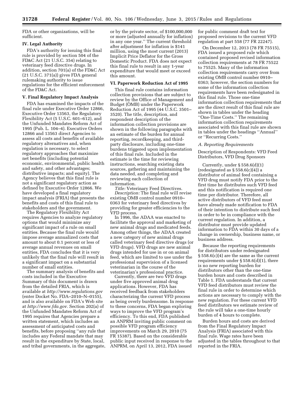FDA or other organizations, will be sufficient.

#### **IV. Legal Authority**

FDA's authority for issuing this final rule is provided by section 504 of the FD&C Act (21 U.S.C. 354) relating to veterinary feed directive drugs. In addition, section 701(a) of the FD&C Act (21 U.S.C. 371(a)) gives FDA general rulemaking authority to issue regulations for the efficient enforcement of the FD&C Act.

#### **V. Final Regulatory Impact Analysis**

FDA has examined the impacts of the final rule under Executive Order 12866, Executive Order 13563, the Regulatory Flexibility Act (5 U.S.C. 601–612), and the Unfunded Mandates Reform Act of 1995 (Pub. L. 104–4). Executive Orders 12866 and 13563 direct Agencies to assess all costs and benefits of available regulatory alternatives and, when regulation is necessary, to select regulatory approaches that maximize net benefits (including potential economic, environmental, public health and safety, and other advantages; distributive impacts; and equity). The Agency believes that this final rule is not a significant regulatory action as defined by Executive Order 12866. We have developed a final regulatory impact analysis (FRIA) that presents the benefits and costs of this final rule to stakeholders and the government.

The Regulatory Flexibility Act requires Agencies to analyze regulatory options that would minimize any significant impact of a rule on small entities. Because the final rule would impose average annualized costs that amount to about 0.1 percent or less of average annual revenues on small entities, FDA concludes that it is very unlikely that the final rule will result in a significant impact on a substantial number of small entities.

The summary analysis of benefits and costs included in the Executive Summary of this document is drawn from the detailed FRIA, which is available at *<http://www.regulations.gov>* (enter Docket No. FDA–2010–N–0155), and is also available on FDA's Web site at *[http://www.fda.gov.](http://www.fda.gov)* Section 202(a) of the Unfunded Mandates Reform Act of 1995 requires that Agencies prepare a written statement, which includes an assessment of anticipated costs and benefits, before proposing ''any rule that includes any Federal mandate that may result in the expenditure by State, local, and tribal governments, in the aggregate,

or by the private sector, of \$100,000,000 or more (adjusted annually for inflation) in any one year.'' The current threshold after adjustment for inflation is \$141 million, using the most current (2013) Implicit Price Deflator for the Gross Domestic Product. FDA does not expect this final rule to result in any 1-year expenditure that would meet or exceed this amount.

#### **VI. Paperwork Reduction Act of 1995**

This final rule contains information collection provisions that are subject to review by the Office of Management and Budget (OMB) under the Paperwork Reduction Act of 1995 (44 U.S.C. 3501– 3520). The title, description, and respondent description of the information collection provisions are shown in the following paragraphs with an estimate of the burden for annual reporting, recordkeeping, and thirdparty disclosure, including one-time burdens triggered upon implementation of this final rule. Included in the estimate is the time for reviewing instructions, searching existing data sources, gathering and maintaining the data needed, and completing and reviewing each collection of information.

*Title:* Veterinary Feed Directives. *Description:* The final rule will revise existing OMB control number 0910– 0363 for veterinary feed directives by providing for greater efficiencies to the VFD process.

In 1996, the ADAA was enacted to facilitate the approval and marketing of new animal drugs and medicated feeds. Among other things, the ADAA created a new category of new animal drugs called veterinary feed directive drugs (or VFD drugs). VFD drugs are new animal drugs intended for use in or on animal feed, which are limited to use under the professional supervision of a licensed veterinarian in the course of the veterinarian's professional practice.

Currently, there are two VFD drugs under five approved animal drug applications. However, FDA has received feedback from stakeholders characterizing the current VFD process as being overly burdensome. In response to these concerns, FDA began exploring ways to improve the VFD program's efficiency. To this end, FDA published an ANPRM inviting public comment on possible VFD program efficiency improvements on March 29, 2010 (75 FR 15387). Based on the considerable public input received in response to the ANPRM, on April 13, 2012, FDA issued

for public comment draft text for proposed revisions to the current VFD regulation at part 558 (77 FR 22247).

On December 12, 2013 (78 FR 75515), FDA issued a proposed rule which contained proposed revised information collection requirements at 78 FR 75522 to 75525. Many of the information collection requirements carry over from existing OMB control number 0910– 0363; however, the section numbers for some of the information collection requirements have been redesignated in this final rule. Those one-time information collection requirements that are the direct result of this final rule are shown in tables under the heading ''One-Time Costs.'' The remaining information collection requirements associated with this final rule are shown in tables under the headings ''Annual'' or ''Recurring Costs.''

#### *A. Reporting Requirements*

Description of Respondents: VFD Feed Distributors, VFD Drug Sponsors

Currently, under  $\S 558.6(d)(1)$ (redesignated as  $\S 558.6(c)(4)$ ) a distributor of animal feed containing a VFD drug must notify FDA prior to the first time he distributes such VFD feed and this notification is required one time per distributor. Therefore, all active distributors of VFD feed must have already made notification to FDA of their intention to distribute such feed in order to be in compliance with the current regulation. In addition, a distributor must provide updated information to FDA within 30 days of a change in ownership, business name, or business address.

Because the reporting requirements for distributors under redesignated § 558.6(c)(4) are the same as the current requirements under  $\S 558.6(d)(1)$ , there is no new reporting burden for distributors other than the one-time burden hours and costs described in Table 1. FDA understands that current VFD feed distributors must review the final rule in order to determine which actions are necessary to comply with the new regulation. For these current VFD feed distributors we estimate review of the rule will take a one-time hourly burden of 4 hours to complete.

Burden hours and costs are derived from the Final Regulatory Impact Analysis (FRIA) associated with this final rule. Wage rates have been adjusted in the tables throughout to that reported in the FRIA.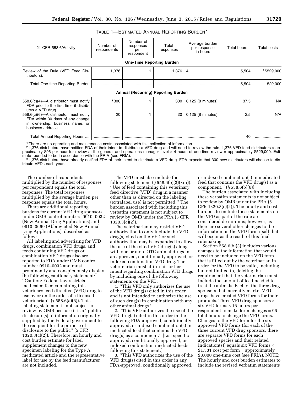#### TABLE 1—ESTIMATED ANNUAL REPORTING BURDEN 1

| 21 CFR 558.6/Activity                                                                                                             | Number of<br>respondents | Number of<br>responses<br>per<br>respondent | Total<br>responses | Average burden<br>per response<br>in hours | Total hours | Total costs   |  |  |
|-----------------------------------------------------------------------------------------------------------------------------------|--------------------------|---------------------------------------------|--------------------|--------------------------------------------|-------------|---------------|--|--|
|                                                                                                                                   |                          | <b>One-Time Reporting Burden</b>            |                    |                                            |             |               |  |  |
| Review of the Rule (VFD Feed Dis-<br>tributors).                                                                                  | 1,376                    |                                             | 1,376              | 4                                          | 5,504       | $2$ \$529,000 |  |  |
| Total One-time Reporting Burden                                                                                                   |                          |                                             |                    |                                            | 5,504       | 529,000       |  |  |
| Annual (Recurring) Reporting Burden                                                                                               |                          |                                             |                    |                                            |             |               |  |  |
| $558.6(c)(4)$ —A distributor must notify<br>FDA prior to the first time it distrib-<br>utes a VFD drug.                           | 3300                     |                                             | 300                | 0.125 (8 minutes)                          | 37.5        | <b>NA</b>     |  |  |
| 558.6(c)(6)—A distributor must notify<br>FDA within 30 days of any change<br>in ownership, business name, or<br>business address. | 20                       |                                             | 20                 | 0.125 (8 minutes)                          | 2.5         | N/A           |  |  |
| <b>Total Annual Reporting Hours</b>                                                                                               |                          |                                             |                    |                                            | 40          |               |  |  |

1There are no operating and maintenance costs associated with this collection of information.

 $21,376$  distributors have notified FDA of their intent to distribute a VFD drug and will need to review the rule. 1,376 VFD feed distributors x approximately \$96 per hour for review at the general and operations manager level × 4 hours of one-time review = approximately \$529,000. Esti-

mate rounded to be in accordance with the FRIA (see FRIA).<br><sup>3</sup> 1,376 distributors have already notified FDA of their intent to distribute a VFD drug. FDA expects that 300 new distributors will choose to distribute VFDs each year.

The number of respondents multiplied by the number of responses per respondent equals the total responses. The total responses multiplied by the average burden per response equals the total hours.

There are additional reporting burdens for current VFD drug sponsors under OMB control numbers 0910–0032 (New Animal Drug Applications) and 0910–0669 (Abbreviated New Animal Drug Applications), described as follows:

All labeling and advertising for VFD drugs, combination VFD drugs, and feeds containing VFD drugs or combination VFD drugs also are reported to FDA under OMB control number 0910–0032 and must prominently and conspicuously display the following cautionary statement: ''Caution: Federal law restricts medicated feed containing this veterinary feed directive (VFD) drug to use by or on the order of a licensed veterinarian'' (§ 558.6(a)(6)). This labeling statement is not subject to review by OMB because it is a ''public disclosure[s] of information originally supplied by the Federal government to the recipient for the purpose of disclosure to the public'' (5 CFR 1320.3(c)(2)). Therefore, an hourly and cost burden estimate for label supplement changes to the new specimen labeling for the Type A medicated article and the representative label for use by the feed manufacturer are not included.

The VFD must also include the following statement  $(\S 558.6(b)(3)(xiii))$ : ''Use of feed containing this veterinary feed directive (VFD) drug in a manner other than as directed on the labeling (extralabel use) is not permitted.'' The burden associated with including this verbatim statement is not subject to review by OMB under the PRA (5 CFR  $1320.3(c)(2)$ ).

The veterinarian may restrict VFD authorization to only include the VFD drug(s) cited on the VFD or such authorization may be expanded to allow the use of the cited VFD drug(s) along with one or more OTC animal drugs in an approved, conditionally approved, or indexed combination VFD drug. The veterinarian must affirm his or her intent regarding combination VFD drugs by including one of the following statements on the VFD:

1. ''This VFD only authorizes the use of the VFD drug(s) cited in this order and is not intended to authorize the use of such drug(s) in combination with any other animal drugs.''

2. ''This VFD authorizes the use of the VFD drug(s) cited in this order in the following FDA-approved, conditionally approved, or indexed combination(s) in medicated feed that contains the VFD drug(s) as a component.'' [List specific approved, conditionally approved, or indexed combination medicated feeds following this statement.]

3. ''This VFD authorizes the use of the VFD drug(s) cited in this order in any FDA-approved, conditionally approved,

or indexed combination(s) in medicated feed that contains the VFD drug(s) as a component.'' (§ 558.6(b)(6)).

The burden associated with including these verbatim statements is not subject to review by OMB under the PRA (5  $CFR 1320.3(c)(2)$ . The hourly and cost burdens to include these statements on the VFD as part of the rule are considered de minimis; however, as there are several other changes to the information on the VFD form itself that will occur as the result of this final rulemaking.

Section 558.6(b)(3) includes various changes to the information that would need to be included on the VFD form that is filled out by the veterinarian in order for the VFD to be valid, including but not limited to, deleting the requirement that the veterinarian must include the amount of feed needed to treat the animals. Each of the three drug sponsors that currently market VFD drugs have created VFD forms for their products. Three VFD drug sponsors  $\times$ six VFD forms × 16 hours per respondent to make form changes = 96 total hours to change the VFD forms. Changes to the VFD form for the six approved VFD forms (for each of the three current VFD drug sponsors, there are separate VFD forms for each approved species and their related indication(s)) equals six VFD forms  $\times$ \$1,331 cost per form = approximately \$8,000 one-time cost (see FRIA). NOTE: The hourly and cost burden estimates to include the revised verbatim statements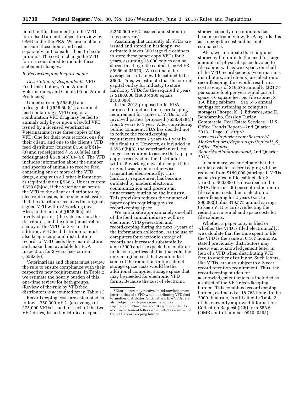noted in this document (on the VFD form itself) are not subject to review by OMB under the PRA. We are unable to measure these hours and costs separately, but consider them to be de minimis. The cost to change the VFD form is considered to include these statement changes.

#### *B. Recordkeeping Requirements*

*Description of Respondents:* VFD Feed Distributors, Food Animal Veterinarians, and Clients (Food Animal Producers).

Under current § 558.6(f) and redesignated § 558.6(a)(1), an animal feed containing a VFD drug or a combination VFD drug may be fed to animals only by or upon a lawful VFD issued by a licensed veterinarian. Veterinarians issue three copies of the VFD: One for their own records, one for their client, and one to the client's VFD feed distributor (current § 558.6(b)(1)– (3) and redesignated § 558.6(a)(4) and redesignated § 558.6(b)(8)–(9)). The VFD includes information about the number and species of animals to receive feed containing one or more of the VFD drugs, along with all other information as required under § 558.6. Under current § 558.6(b)(4), if the veterinarian sends the VFD to the client or distributor by electronic means, he or she must assure that the distributor receives the original, signed VFD within 5 working days. Also, under current § 558.6(c), all involved parties (the veterinarian, the distributor, and the client) must retain a copy of the VFD for 2 years. In addition, VFD feed distributors must also keep receipt and distribution records of VFD feeds they manufacture and make them available for FDA inspection for 2 years (see current § 558.6(e)).

Veterinarians and clients must review the rule to ensure compliance with their respective new requirements. In Table 2, we estimate the hourly burden of this one-time review for both groups. (Review of the rule by VFD feed distributors is accounted for in Table 1.)

Recordkeeping costs are calculated as follows: 750,000 VFDs (an average of 375,000 VFDs issued for each of the two VFD drugs) issued in triplicate equals

2,250,000 VFDs issued and stored in files per year.<sup>1</sup>

Assuming that currently all VFDs are issued and stored in hardcopy, we estimate it takes 300 large file cabinets to store these paper copy VFDs for 2 years, assuming 15,000 copies can be stored in a large file cabinet (see 64 FR 35966 at 35970). We estimate the average cost of a new file cabinet to be \$600. Thus, we estimate that the current capital outlay for industry to store hardcopy VFDs for the required 2 years is  $$180,000$  ( $$600 \times 300$  equals \$180,000).

In the 2013 proposed rule, FDA proposed to reduce the recordkeeping requirement for copies of VFDs for all involved parties (proposed § 558.6(a)(4)) from 2 years to 1 year. After considering public comment, FDA has decided not to reduce the recordkeeping requirement from 2 years to 1 year in this final rule. However, as included in § 558.6(b)(8), the veterinarian will no longer be required to assure that a paper copy is received by the distributor within 5 working days of receipt if the original was faxed or otherwise transmitted electronically. This hardcopy requirement has become outdated by modern electronic communication and presents an unnecessary burden on the industry. This provision reduces the number of paper copies requiring physical recordkeeping space.

We anticipate approximately one-half of the food animal industry will use electronic VFD generation and recordkeeping during the next 3 years of the information collection. As the use of computers for electronic storage of records has increased substantially since 2000 and is expected to continue to do so regardless of this final rule, the only marginal cost that would offset some of the reduction in file cabinet storage space costs would be the additional computer storage space that may be needed for electronic VFD forms. Because the cost of electronic

storage capacity on computers has become extremely low, FDA regards this as a negligible cost and has not estimated it.

Also, we anticipate that computer storage will eliminate the need for large amounts of physical space devoted to file cabinets. If, as we expect, one-half of the VFD recordkeepers (veterinarians, distributors, and clients) use electronic recordkeeping, this would result in a cost savings of \$19,575 annually (\$21.75 per square foot per year rental cost of space  $\times$  6 square feet per file cabinet  $\times$ 150 filing cabinets = \$19,575 annual savings for switching to computer storage) (Thorpe, K., J. Edwards, and E. Bondarenko, Cassidy Turley Commercial Real Estate Services. ''U.S. Office Trends Report—2nd Quarter 2013.'' Page 10. *[http://](http://www.cassidyturley.com/Research/MarketReports/Report.aspx?topic=U_S_Office_Trends_Report&action=download) [www.cassidyturley.com/Research/](http://www.cassidyturley.com/Research/MarketReports/Report.aspx?topic=U_S_Office_Trends_Report&action=download) [MarketReports/Report.aspx?topic=U](http://www.cassidyturley.com/Research/MarketReports/Report.aspx?topic=U_S_Office_Trends_Report&action=download)*\_*S*\_

*Office*\_*[Trends](http://www.cassidyturley.com/Research/MarketReports/Report.aspx?topic=U_S_Office_Trends_Report&action=download)*\_

*[Report&action=download,](http://www.cassidyturley.com/Research/MarketReports/Report.aspx?topic=U_S_Office_Trends_Report&action=download)* 2nd Quarter 2013).

In summary, we anticipate that the capital costs for recordkeeping will be reduced from \$180,000 (storing all VFDs as hardcopies in file cabinets for 2 years) to \$90,000 (as described in the FRIA, there is a 50 percent reduction in file cabinet costs due to electronic recordkeeping for 2 years (*i.e.,* to \$90,000)) plus \$19,575 annual savings to keep VFD records, reflecting the reduction in rental and space costs for file cabinets.

Whether a paper copy is filed or whether the VFD is filed electronically, we calculate that the time spent to file the VFD is the same at 0.167 hours. As stated previously, distributors may receive an acknowledgement letter in lieu of a VFD when distributing VFD feed to another distributor. Such letters, like VFDs, are also subject to a 2-year record retention requirement. Thus, the recordkeeping burden for acknowledgement letters is included as a subset of the VFD recordkeeping burden. This combined recordkeeping burden, estimated at 18,788 hours in the 2000 final rule, is still cited in Table 2 of the currently approved Information Collection Request (ICR) for § 558.6 (OMB control number 0910–0363).

<sup>1</sup> Distributors may receive an acknowledgement letter in lieu of a VFD when distributing VFD feed to another distributor. Such letters, like VFDs, are also subject to a 2-year record retention requirement. Thus, the recordkeeping burden for acknowledgement letters is included as a subset of the VFD recordkeeping burden.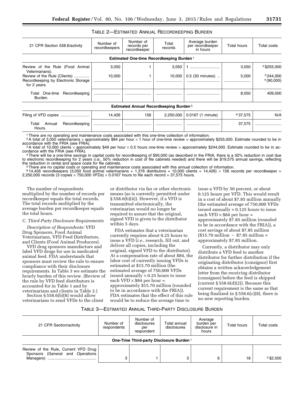#### TABLE 2—ESTIMATED ANNUAL RECORDKEEPING BURDEN

| 21 CFR Section 558.6/activity                                                       | Number of<br>recordkeepers | Number of<br>records per<br>recordkeeper | Total<br>records                                 | Average burden<br>per recordkeeper<br>in hours | Total hours | Total costs           |  |  |
|-------------------------------------------------------------------------------------|----------------------------|------------------------------------------|--------------------------------------------------|------------------------------------------------|-------------|-----------------------|--|--|
|                                                                                     |                            |                                          | <b>Estimated One-time Recordkeeping Burden 1</b> |                                                |             |                       |  |  |
| Review of the Rule (Food Animal<br>Veterinarians).                                  | 3,050                      |                                          | 3,050                                            |                                                | 3,050       | $2$ \$255,000         |  |  |
| Review of the Rule (Clients)<br>Recordkeeping by Electronic Storage<br>for 2 years. | 10,000                     |                                          | 10,000                                           | 0.5 (30 minutes)<br>                           | 5,000<br>   | 3244,000<br>4(90,000) |  |  |
| Total One-time<br>Recordkeeping<br>Burden.                                          |                            | .                                        |                                                  |                                                | 8,050       | 409.000               |  |  |
| Estimated Annual Recordkeeping Burden <sup>5</sup>                                  |                            |                                          |                                                  |                                                |             |                       |  |  |
| Filing of VFD copies                                                                | 14,426                     | 156                                      | 2.250.000                                        | 0.0167 (1 minute)                              | 637.575     | N/A                   |  |  |
|                                                                                     |                            |                                          |                                                  |                                                |             |                       |  |  |

1There are no operating and maintenance costs associated with this one-time collection of information.

2A total of 3,050 veterinarians × approximately \$84 per hour × 1 hour of one-time review = approximately \$255,000. Estimate rounded to be in<br>accordance with the FRIA (see FRIA).

........................ ........................ ........................ .............................. 37,575 ........................

<sup>3</sup>A total of 10,000 clients × approximately \$49 per hour × 0.5 hours one-time review = approximately \$244,000. Estimate rounded to be in ac-<br>cordance with the FRIA (see FRIA).

<sup>4</sup>There will be a one-time savings in capital costs for recordkeeping of \$90,000 (as described in the FRIA, there is a 50% reduction in cost due to electronic recordkeeping for 2 years (*i.e.,* 50% reduction in cost of file cabinets needed) and there will be \$19,575 annual savings, reflecting<br>the reduction in rental and space costs for file cabinets.

<sup>5</sup>There are no capital costs or operating and maintenance costs associated with this annual collection of information.

 $614,426$  recordkeepers (3,050 food animal veterinarians + 1,376 distributors + 10,000 clients = 14,426) × 156 records per recordkeeper = 2,250,000 records (3 copies  $\times$  750,000 VFDs)  $\times$  0.0167 hours to file each record = 37,575 hours.

The number of respondents multiplied by the number of records per recordkeeper equals the total records. The total records multiplied by the average burden per recordkeeper equals the total hours.

Total Annual Recordkeeping

Hours.

#### *C. Third-Party Disclosure Requirements*

*Description of Respondents:* VFD Drug Sponsors, Food Animal Veterinarians, VFD Feed Distributors, and Clients (Food Animal Producers).

VFD drug sponsors manufacture and label VFD drugs for use in medicated animal feed. FDA understands that sponsors must review the rule to ensure compliance with their disclosure requirements. In Table 3 we estimate the hourly burden of this review. (Review of the rule by VFD feed distributors is accounted for in Table 1 and by veterinarians and clients in Table 2.)

Section § 558.6(b)(8) would allow veterinarians to send VFDs to the client or distributor via fax or other electronic means (as is currently permitted under § 558.6(b)(4)). However, if a VFD is transmitted electronically, the veterinarian would no longer be required to assure that the original, signed VFD is given to the distributor within 5 days.

FDA estimates that a veterinarian currently requires about 0.25 hours to issue a VFD (*i.e.,* research, fill out, and deliver all copies, including the original, signed VFD to the distributor). At a compensation rate of about \$84, the labor cost of currently issuing VFDs is estimated at \$15.70 million (the estimated average of 750,000 VFDs issued annually  $\times$  0.25 hours to issue each VFD  $\times$  \$84 per hour = approximately \$15.70 million (rounded to be in accordance with the FRIA)). FDA estimates that the effect of this rule would be to reduce the average time to

issue a VFD by 50 percent, or about 0.125 hours per VFD. This would result in a cost of about \$7.85 million annually (the estimated average of 750,000 VFDs issued annually  $\times$  0.125 hours to issue each VFD  $\times$  \$84 per hour = approximately \$7.85 million (rounded to be in accordance with the FRIA)), a cost savings of about \$7.85 million  $($15.70 \text{ million} - $7.85 \text{ million} =$ approximately \$7.85 million.

Currently, a distributor may only distribute a VFD feed to another distributor for further distribution if the originating distributor (consignor) first obtains a written acknowledgement letter from the receiving distributor (consignee) before the feed is shipped (current  $\S 558.6(d)(2)$ ). Because this current requirement is the same as that being finalized in § 558.6(c)(8), there is no new reporting burden.

#### TABLE 3—ESTIMATED ANNUAL THIRD-PARTY DISCLOSURE BURDEN

| 21 CFR Section/activity                                                               | Number of<br>respondents | Number of<br>disclosures<br>per<br>respondent | Total annual<br>disclosures | Average<br>burden per<br>disclosure in<br>hours | Total hours | Total costs |  |  |  |
|---------------------------------------------------------------------------------------|--------------------------|-----------------------------------------------|-----------------------------|-------------------------------------------------|-------------|-------------|--|--|--|
| One-Time Third-party Disclosure Burden <sup>1</sup>                                   |                          |                                               |                             |                                                 |             |             |  |  |  |
| Review of the Rule, Current VFD Drug<br>Sponsors (General and Operations<br>Managers) |                          |                                               |                             | 6                                               | 18          | $2$ \$2.500 |  |  |  |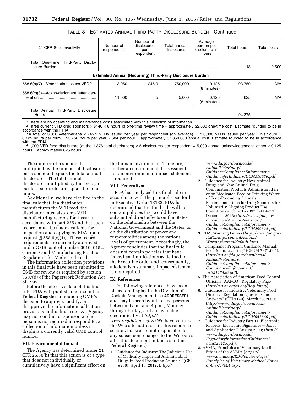| 21 CFR Section/activity                                                 | Number of<br>respondents | Number of<br>disclosures<br>per<br>respondent | Total annual<br>disclosures | Average<br>burden per<br>disclosure in<br>hours | Total hours | Total costs |  |  |
|-------------------------------------------------------------------------|--------------------------|-----------------------------------------------|-----------------------------|-------------------------------------------------|-------------|-------------|--|--|
| Total One-Time Third-Party Disclo-                                      |                          |                                               |                             |                                                 | 18          | 2,500       |  |  |
| Estimated Annual (Recurring) Third-Party Disclosure Burden <sup>1</sup> |                          |                                               |                             |                                                 |             |             |  |  |
| 558.6(b)(7)—Veterinarian issues VFD <sup>3</sup>                        | 3.050                    | 245.9                                         | 750,000                     | 0.125<br>(8 minutes)                            | 93,750      | N/A         |  |  |
| 558.6(c)(8)-Acknowledgment letter gen-                                  | 41,000                   | 5                                             | 5.000                       | 0.125<br>(8 minutes)                            | 625         | N/A         |  |  |
| Total Annual Third-Party Disclosure<br>Hours                            |                          | .                                             |                             |                                                 | 94.375      |             |  |  |

#### TABLE 3—ESTIMATED ANNUAL THIRD-PARTY DISCLOSURE BURDEN—Continued

1There are no operating and maintenance costs associated with this collection of information.

<sup>2</sup>Three current VFD drug sponsors  $\times$  \$140  $\times$  6 hours of one-time review time = approximately \$2,500 one-time cost. Estimate rounded to be in

accordance with the FRIA.  $\frac{3}{4}$  a total of 3,050 veterinarians × 245.9 VFDs issued per year per respondent (on average) = 750,000 VFDs issued per year. This figure × 0.125 hours per form = 93,750 hours per year  $\times$  \$84 per hour = approximately \$7,850,000 annual cost. Estimate rounded to be in accordance

with the FRIA.<br>41,000 VFD feed distributors (of the 1,376 total distributors)  $\times$  5 disclosures per respondent = 5,000 annual acknowledgement letters  $\times$  0.125 hours = approximately 625 hours.

The number of respondents multiplied by the number of disclosures per respondent equals the total annual disclosures. The total annual disclosures multiplied by the average burden per disclosure equals the total hours.

Additionally, we have clarified in the final rule that, if a distributor manufactures the VFD feed, the distributor must also keep VFD manufacturing records for 1 year in accordance with part 225 and that such records must be made available for inspection and copying by FDA upon request  $(\S 558.6(c)(4))$ . These record requirements are currently approved under OMB control number 0910–0152, Current Good Manufacturing Practice Regulations for Medicated Feed.

The information collection provisions in this final rule have been submitted to OMB for review as required by section 3507(d) of the Paperwork Reduction Act of 1995.

Before the effective date of this final rule, FDA will publish a notice in the **Federal Register** announcing OMB's decision to approve, modify, or disapprove the information collection provisions in this final rule. An Agency may not conduct or sponsor, and a person is not required to respond to, a collection of information unless it displays a currently valid OMB control number.

#### **VII. Environmental Impact**

The Agency has determined under 21 CFR 25.30(h) that this action is of a type that does not individually or cumulatively have a significant effect on the human environment. Therefore, neither an environmental assessment nor an environmental impact statement is required.

#### **VIII. Federalism**

FDA has analyzed this final rule in accordance with the principles set forth in Executive Order 13132. FDA has determined that the final rule will not contain policies that would have substantial direct effects on the States, on the relationship between the National Government and the States, or on the distribution of power and responsibilities among the various levels of government. Accordingly, the Agency concludes that the final rule does not contain policies that have federalism implications as defined in the Executive order and, consequently, a federalism summary impact statement is not required.

#### **IX. References**

The following references have been placed on display in the Division of Dockets Management (see **ADDRESSES**) and may be seen by interested persons between 9 a.m. and 4 p.m., Monday through Friday, and are available electronically at *[http://](http://www.regulations.gov) [www.regulations.gov.](http://www.regulations.gov)* (We have verified the Web site addresses in this reference section, but we are not responsible for any subsequent changes to the Web sites after this document publishes in the **Federal Register**.)

1. ''Guidance for Industry: The Judicious Use of Medically Important Antimicrobial Drugs in Food-Producing Animals'' (GFI #209), April 13, 2012; (*[http://](http://www.fda.gov/downloads/AnimalVeterinary/GuidanceComplianceEnforcement/GuidanceforIndustry/UCM216936.pdf)*

*[www.fda.gov/downloads/](http://www.fda.gov/downloads/AnimalVeterinary/GuidanceComplianceEnforcement/GuidanceforIndustry/UCM216936.pdf) [AnimalVeterinary/](http://www.fda.gov/downloads/AnimalVeterinary/GuidanceComplianceEnforcement/GuidanceforIndustry/UCM216936.pdf) [GuidanceComplianceEnforcement/](http://www.fda.gov/downloads/AnimalVeterinary/GuidanceComplianceEnforcement/GuidanceforIndustry/UCM216936.pdf)*

- *[GuidanceforIndustry/UCM216936.pdf](http://www.fda.gov/downloads/AnimalVeterinary/GuidanceComplianceEnforcement/GuidanceforIndustry/UCM216936.pdf)*). 2. ''Guidance for Industry: New Animal Drugs and New Animal Drug Combination Products Administered in or on Medicated Feed or Drinking Water of Food-Producing Animals: Recommendations for Drug Sponsors for Voluntarily Aligning Product Use Conditions with GFI #209'' (GFI #213), December 2013; (*[http://www.fda.gov/](http://www.fda.gov/downloads/AnimalVeterinary/GuidanceComplianceEnforcement/GuidanceforIndustry/UCM299624.pdf) [downloads/AnimalVeterinary/](http://www.fda.gov/downloads/AnimalVeterinary/GuidanceComplianceEnforcement/GuidanceforIndustry/UCM299624.pdf) [GuidanceComplianceEnforcement/](http://www.fda.gov/downloads/AnimalVeterinary/GuidanceComplianceEnforcement/GuidanceforIndustry/UCM299624.pdf) [GuidanceforIndustry/UCM299624.pdf](http://www.fda.gov/downloads/AnimalVeterinary/GuidanceComplianceEnforcement/GuidanceforIndustry/UCM299624.pdf)*).
- 3. FDA, Warning Letters (*[http://www.fda.gov/](http://www.fda.gov/ICECI/EnforcementActions/WarningLetters/default.htm)  [ICECI/EnforcementActions/](http://www.fda.gov/ICECI/EnforcementActions/WarningLetters/default.htm) [WarningLetters/default.htm](http://www.fda.gov/ICECI/EnforcementActions/WarningLetters/default.htm)*).
- 4. ''Compliance Program Guidance Manual: Feed Manufacturing'' (CPGM 7371.004); (*[http://www.fda.gov/downloads/](http://www.fda.gov/downloads/AnimalVeterinary/GuidanceComplianceEnforcement/ComplianceEnforcement/UCM113430.pdf) [AnimalVeterinary/](http://www.fda.gov/downloads/AnimalVeterinary/GuidanceComplianceEnforcement/ComplianceEnforcement/UCM113430.pdf) [GuidanceComplianceEnforcement/](http://www.fda.gov/downloads/AnimalVeterinary/GuidanceComplianceEnforcement/ComplianceEnforcement/UCM113430.pdf) [ComplianceEnforcement/](http://www.fda.gov/downloads/AnimalVeterinary/GuidanceComplianceEnforcement/ComplianceEnforcement/UCM113430.pdf) [UCM113430.pdf](http://www.fda.gov/downloads/AnimalVeterinary/GuidanceComplianceEnforcement/ComplianceEnforcement/UCM113430.pdf)*).
- 5. The Association of American Feed Control Officials (AAFCO), Regulatory Page (*<http://www.aafco.org/Regulatory>*).
- 6. ''Guidance for Industry: Veterinary Feed Directive Regulation Questions and Answers'' (GFI #120), March 26, 2009; (*[http://www.fda.gov/downloads/](http://www.fda.gov/downloads/AnimalVeterinary/GuidanceComplianceEnforcement/GuidanceforIndustry/UCM052660.pdf) [AnimalVeterinary/](http://www.fda.gov/downloads/AnimalVeterinary/GuidanceComplianceEnforcement/GuidanceforIndustry/UCM052660.pdf) [GuidanceComplianceEnforcement/](http://www.fda.gov/downloads/AnimalVeterinary/GuidanceComplianceEnforcement/GuidanceforIndustry/UCM052660.pdf) [GuidanceforIndustry/UCM052660.pdf](http://www.fda.gov/downloads/AnimalVeterinary/GuidanceComplianceEnforcement/GuidanceforIndustry/UCM052660.pdf)*).
- 7. ''Guidance for Industry Part 11, Electronic Records; Electronic Signatures—Scope and Application'' August 2003; (*[http://](http://www.fda.gov/downloads/RegulatoryInformation/Guidances/ucm125125.pdf) [www.fda.gov/downloads/](http://www.fda.gov/downloads/RegulatoryInformation/Guidances/ucm125125.pdf) [RegulatoryInformation/Guidances/](http://www.fda.gov/downloads/RegulatoryInformation/Guidances/ucm125125.pdf) [ucm125125.pdf](http://www.fda.gov/downloads/RegulatoryInformation/Guidances/ucm125125.pdf)*).
- 8. AVMA, Principles of Veterinary Medical Ethics of the AVMA (*[https://](https://www.avma.org/KB/Policies/Pages/Principles-of-Veterinary-Medical-Ethics-of-the-AVMA.aspx) [www.avma.org/KB/Policies/Pages/](https://www.avma.org/KB/Policies/Pages/Principles-of-Veterinary-Medical-Ethics-of-the-AVMA.aspx) [Principles-of-Veterinary-Medical-Ethics](https://www.avma.org/KB/Policies/Pages/Principles-of-Veterinary-Medical-Ethics-of-the-AVMA.aspx)[of-the-AVMA.aspx](https://www.avma.org/KB/Policies/Pages/Principles-of-Veterinary-Medical-Ethics-of-the-AVMA.aspx)*).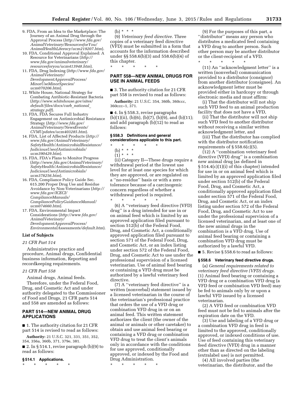- 9. FDA, From an Idea to the Marketplace: The Journey of an Animal Drug through the Approval Process (*[http://www.fda.gov/](http://www.fda.gov/AnimalVeterinary/ResourcesforYou/AnimalHealthLiteracy/ucm219207.htm) [AnimalVeterinary/ResourcesforYou/](http://www.fda.gov/AnimalVeterinary/ResourcesforYou/AnimalHealthLiteracy/ucm219207.htm) [AnimalHealthLiteracy/ucm219207.htm](http://www.fda.gov/AnimalVeterinary/ResourcesforYou/AnimalHealthLiteracy/ucm219207.htm)*).
- 10. FDA, Conditional Approval Explained: A Resource for Veterinarians (*[http://](http://www.fda.gov/animalveterinary/resourcesforyou/ucm413948.htm) [www.fda.gov/animalveterinary/](http://www.fda.gov/animalveterinary/resourcesforyou/ucm413948.htm) [resourcesforyou/ucm413948.htm](http://www.fda.gov/animalveterinary/resourcesforyou/ucm413948.htm)*).
- 11. FDA, Drug Indexing (*[http://www.fda.gov/](http://www.fda.gov/AnimalVeterinary/DevelopmentApprovalProcess/MinorUseMinorSpecies/ucm070206.htm)  [AnimalVeterinary/](http://www.fda.gov/AnimalVeterinary/DevelopmentApprovalProcess/MinorUseMinorSpecies/ucm070206.htm) [DevelopmentApprovalProcess/](http://www.fda.gov/AnimalVeterinary/DevelopmentApprovalProcess/MinorUseMinorSpecies/ucm070206.htm) [MinorUseMinorSpecies/](http://www.fda.gov/AnimalVeterinary/DevelopmentApprovalProcess/MinorUseMinorSpecies/ucm070206.htm) [ucm070206.htm](http://www.fda.gov/AnimalVeterinary/DevelopmentApprovalProcess/MinorUseMinorSpecies/ucm070206.htm)*).
- 12. White House, National Strategy for Combating Antibiotic-Resistant Bacteria (*[http://www.whitehouse.gov/sites/](http://www.whitehouse.gov/sites/default/files/docs/carb_national_strategy.pdf) [default/files/docs/carb](http://www.whitehouse.gov/sites/default/files/docs/carb_national_strategy.pdf)*\_*national*\_ *[strategy.pdf](http://www.whitehouse.gov/sites/default/files/docs/carb_national_strategy.pdf)*).
- 13. FDA, FDA Secures Full Industry Engagement on Antimicrobial Resistance Strategy (*[http://www.fda.gov/](http://www.fda.gov/AnimalVeterinary/NewsEvents/CVMUpdates/ucm403285.htm) [AnimalVeterinary/NewsEvents/](http://www.fda.gov/AnimalVeterinary/NewsEvents/CVMUpdates/ucm403285.htm) [CVMUpdates/ucm403285.htm](http://www.fda.gov/AnimalVeterinary/NewsEvents/CVMUpdates/ucm403285.htm)*).
- 14. FDA, List of Affected Products (*[http://](http://www.fda.gov/AnimalVeterinary/SafetyHealth/AntimicrobialResistance/JudiciousUseofAntimicrobials/ucm390429.htm) [www.fda.gov/AnimalVeterinary/](http://www.fda.gov/AnimalVeterinary/SafetyHealth/AntimicrobialResistance/JudiciousUseofAntimicrobials/ucm390429.htm) [SafetyHealth/AntimicrobialResistance/](http://www.fda.gov/AnimalVeterinary/SafetyHealth/AntimicrobialResistance/JudiciousUseofAntimicrobials/ucm390429.htm) [JudiciousUseofAntimicrobials/](http://www.fda.gov/AnimalVeterinary/SafetyHealth/AntimicrobialResistance/JudiciousUseofAntimicrobials/ucm390429.htm) [ucm390429.htm](http://www.fda.gov/AnimalVeterinary/SafetyHealth/AntimicrobialResistance/JudiciousUseofAntimicrobials/ucm390429.htm)*).
- 15. FDA, FDA's Plans to Monitor Progress (*[http://www.fda.gov/AnimalVeterinary/](http://www.fda.gov/AnimalVeterinary/SafetyHealth/AntimicrobialResistance/JudiciousUseofAntimicrobials/ucm378256.htm) [SafetyHealth/AntimicrobialResistance/](http://www.fda.gov/AnimalVeterinary/SafetyHealth/AntimicrobialResistance/JudiciousUseofAntimicrobials/ucm378256.htm) [JudiciousUseofAntimicrobials/](http://www.fda.gov/AnimalVeterinary/SafetyHealth/AntimicrobialResistance/JudiciousUseofAntimicrobials/ucm378256.htm) [ucm378256.htm](http://www.fda.gov/AnimalVeterinary/SafetyHealth/AntimicrobialResistance/JudiciousUseofAntimicrobials/ucm378256.htm)*).
- 16. FDA, Compliance Policy Guide Sec. 615.200 Proper Drug Use and Residue Avoidance by Non-Veterinarians (*[http://](http://www.fda.gov/ICECI/ComplianceManuals/CompliancePolicyGuidanceManual/ucm074660.htm)  [www.fda.gov/ICECI/](http://www.fda.gov/ICECI/ComplianceManuals/CompliancePolicyGuidanceManual/ucm074660.htm) [ComplianceManuals/](http://www.fda.gov/ICECI/ComplianceManuals/CompliancePolicyGuidanceManual/ucm074660.htm) [CompliancePolicyGuidanceManual/](http://www.fda.gov/ICECI/ComplianceManuals/CompliancePolicyGuidanceManual/ucm074660.htm) [ucm074660.htm](http://www.fda.gov/ICECI/ComplianceManuals/CompliancePolicyGuidanceManual/ucm074660.htm)*).
- 17. FDA, Environmental Impact Considerations (*[http://www.fda.gov/](http://www.fda.gov/AnimalVeterinary/DevelopmentApprovalProcess/EnvironmentalAssessments/default.htm) [AnimalVeterinary/](http://www.fda.gov/AnimalVeterinary/DevelopmentApprovalProcess/EnvironmentalAssessments/default.htm) [DevelopmentApprovalProcess/](http://www.fda.gov/AnimalVeterinary/DevelopmentApprovalProcess/EnvironmentalAssessments/default.htm) [EnvironmentalAssessments/default.htm](http://www.fda.gov/AnimalVeterinary/DevelopmentApprovalProcess/EnvironmentalAssessments/default.htm)*).

#### **List of Subjects**

#### *21 CFR Part 514*

Administrative practice and procedure, Animal drugs, Confidential business information, Reporting and recordkeeping requirements.

#### *21 CFR Part 558*

Animal drugs, Animal feeds.

Therefore, under the Federal Food, Drug, and Cosmetic Act and under authority delegated to the Commissioner of Food and Drugs, 21 CFR parts 514 and 558 are amended as follows:

#### **PART 514—NEW ANIMAL DRUG APPLICATIONS**

■ 1. The authority citation for 21 CFR part 514 is revised to read as follows:

**Authority:** 21 U.S.C. 321, 331, 351, 352, 354, 356a, 360b, 371, 379e, 381.

■ 2. In § 514.1, revise paragraph  $(b)(9)$  to read as follows:

#### **§ 514.1 Applications.**

\* \* \* \* \*

#### (b) \* \* \*

(9) *Veterinary feed directive.* Three copies of a veterinary feed directive (VFD) must be submitted in a form that accounts for the information described under §§ 558.6(b)(3) and 558.6(b)(4) of this chapter.

#### **PART 558—NEW ANIMAL DRUGS FOR USE IN ANIMAL FEEDS**

■ 3. The authority citation for 21 CFR part 558 is revised to read as follows:

\* \* \* \* \*

**Authority:** 21 U.S.C. 354, 360b, 360ccc, 360ccc–1, 371.

■ 4. In § 558.3, revise paragraphs  $(b)(1)(ii)$ ,  $(b)(6)$ ,  $(b)(7)$ ,  $(b)(9)$ , and  $(b)(11)$ ; and add paragraph (b)(12) to read as follows:

#### **§ 558.3 Definitions and general considerations applicable to this part.**

- \* \* \* \* \*
	- (b) \* \* \*  $(1)^{\ast}$  \* \*

(ii) Category II—These drugs require a withdrawal period at the lowest use level for at least one species for which they are approved, or are regulated on a ''no-residue'' basis or with a zero tolerance because of a carcinogenic concern regardless of whether a withdrawal period is required.

\* \* \* \* \* (6) A ''veterinary feed directive (VFD) drug'' is a drug intended for use in or on animal feed which is limited by an approved application filed pursuant to section 512(b) of the Federal Food, Drug, and Cosmetic Act, a conditionally approved application filed pursuant to section 571 of the Federal Food, Drug, and Cosmetic Act, or an index listing under section 572 of the Federal Food, Drug, and Cosmetic Act to use under the professional supervision of a licensed veterinarian. Use of animal feed bearing or containing a VFD drug must be authorized by a lawful veterinary feed directive.

(7) A ''veterinary feed directive'' is a written (nonverbal) statement issued by a licensed veterinarian in the course of the veterinarian's professional practice that orders the use of a VFD drug or combination VFD drug in or on an animal feed. This written statement authorizes the client (the owner of the animal or animals or other caretaker) to obtain and use animal feed bearing or containing a VFD drug or combination VFD drug to treat the client's animals only in accordance with the conditions for use approved, conditionally approved, or indexed by the Food and Drug Administration.

\* \* \* \* \*

(9) For the purposes of this part, a ''distributor'' means any person who distributes a medicated feed containing a VFD drug to another person. Such other person may be another distributor or the client-recipient of a VFD.

\* \* \* \* \* (11) An ''acknowledgment letter'' is a written (nonverbal) communication provided to a distributor (consignor) from another distributor (consignee). An acknowledgment letter must be provided either in hardcopy or through electronic media and must affirm:

(i) That the distributor will not ship such VFD feed to an animal production facility that does not have a VFD,

(ii) That the distributor will not ship such VFD feed to another distributor without receiving a similar written acknowledgment letter, and

(iii) That the distributor has complied with the distributor notification requirements of  $\S 558.6(c)(5)$ .

(12) A ''combination veterinary feed directive (VFD) drug'' is a combination new animal drug (as defined in § 514.4(c)(1)(i) of this chapter) intended for use in or on animal feed which is limited by an approved application filed under section 512(b) of the Federal Food, Drug, and Cosmetic Act, a conditionally approved application filed under section 571 of the Federal Food, Drug, and Cosmetic Act, or an index listing under section 572 of the Federal Food, Drug, and Cosmetic Act to use under the professional supervision of a licensed veterinarian, and at least one of the new animal drugs in the combination is a VFD drug. Use of animal feed bearing or containing a combination VFD drug must be authorized by a lawful VFD.

■ 5. Revise § 558.6 to read as follows:

#### **§ 558.6 Veterinary feed directive drugs.**

(a) *General requirements related to veterinary feed directive (VFD) drugs.*  (1) Animal feed bearing or containing a VFD drug or a combination VFD drug (a VFD feed or combination VFD feed) may be fed to animals only by or upon a lawful VFD issued by a licensed veterinarian.

(2) A VFD feed or combination VFD feed must not be fed to animals after the expiration date on the VFD.

(3) Use and labeling of a VFD drug or a combination VFD drug in feed is limited to the approved, conditionally approved, or indexed conditions of use. Use of feed containing this veterinary feed directive (VFD) drug in a manner other than as directed on the labeling (extralabel use) is not permitted.

(4) All involved parties (the veterinarian, the distributor, and the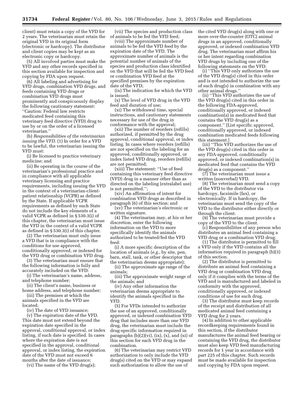client) must retain a copy of the VFD for 2 years. The veterinarian must retain the original VFD in its original form (electronic or hardcopy). The distributor and client copies may be kept as an electronic copy or hardcopy.

(5) All involved parties must make the VFD and any other records specified in this section available for inspection and copying by FDA upon request.

(6) All labeling and advertising for VFD drugs, combination VFD drugs, and feeds containing VFD drugs or combination VFD drugs must prominently and conspicuously display the following cautionary statement: ''Caution: Federal law restricts medicated feed containing this veterinary feed directive (VFD) drug to use by or on the order of a licensed veterinarian.''

(b) *Responsibilities of the veterinarian issuing the VFD.* (1) In order for a VFD to be lawful, the veterinarian issuing the VFD must:

(i) Be licensed to practice veterinary medicine; and

(ii) Be operating in the course of the veterinarian's professional practice and in compliance with all applicable veterinary licensing and practice requirements, including issuing the VFD in the context of a veterinarian-clientpatient relationship (VCPR) as defined by the State. If applicable VCPR requirements as defined by such State do not include the key elements of a valid VCPR as defined in § 530.3(i) of this chapter, the veterinarian must issue the VFD in the context of a valid VCPR as defined in § 530.3(i) of this chapter.

(2) The veterinarian must only issue a VFD that is in compliance with the conditions for use approved, conditionally approved, or indexed for the VFD drug or combination VFD drug.

(3) The veterinarian must ensure that the following information is fully and accurately included on the VFD:

(i) The veterinarian's name, address, and telephone number;

(ii) The client's name, business or home address, and telephone number;

(iii) The premises at which the animals specified in the VFD are located;

(iv) The date of VFD issuance;

(v) The expiration date of the VFD. This date must not extend beyond the expiration date specified in the approval, conditional approval, or index listing, if such date is specified. In cases where the expiration date is not specified in the approval, conditional approval, or index listing, the expiration date of the VFD must not exceed 6 months after the date of issuance;

(vi) The name of the VFD drug(s);

(vii) The species and production class of animals to be fed the VFD feed;

(viii) The approximate number of animals to be fed the VFD feed by the expiration date of the VFD. The approximate number of animals is the potential number of animals of the species and production class identified on the VFD that will be fed the VFD feed or combination VFD feed at the specified premises by the expiration date of the VFD;

(ix) The indication for which the VFD is issued;

(x) The level of VFD drug in the VFD feed and duration of use;

(xi) The withdrawal time, special instructions, and cautionary statements necessary for use of the drug in conformance with the approval;

(xii) The number of reorders (refills) authorized, if permitted by the drug approval, conditional approval, or index listing. In cases where reorders (refills) are not specified on the labeling for an approved, conditionally approved, or index listed VFD drug, reorders (refills) are not permitted;

(xiii) The statement: ''Use of feed containing this veterinary feed directive (VFD) drug in a manner other than as directed on the labeling (extralabel use) is not permitted.'';

(xiv) An affirmation of intent for combination VFD drugs as described in paragraph (6) of this section; and

(xv) The veterinarian's electronic or written signature.

(4) The veterinarian may, at his or her discretion, enter the following information on the VFD to more specifically identify the animals authorized to be treated/fed the VFD feed:

(i) A more specific description of the location of animals (*e.g.,* by site, pen, barn, stall, tank, or other descriptor that the veterinarian deems appropriate);

(ii) The approximate age range of the animals;

(iii) The approximate weight range of the animals; and

(iv) Any other information the veterinarian deems appropriate to identify the animals specified in the VFD.

(5) For VFDs intended to authorize the use of an approved, conditionally approved, or indexed combination VFD drug that includes more than one VFD drug, the veterinarian must include the drug-specific information required in paragraphs  $(b)(2)(vi)$ ,  $(ix)$ ,  $(x)$ , and  $(xi)$  of this section for each VFD drug in the combination.

(6) The veterinarian may restrict VFD authorization to only include the VFD drug(s) cited on the VFD or may expand such authorization to allow the use of

the cited VFD drug(s) along with one or more over-the-counter (OTC) animal drugs in an approved, conditionally approved, or indexed combination VFD drug. The veterinarian must affirm his or her intent regarding combination VFD drugs by including one of the following statements on the VFD:

(i) ''This VFD only authorizes the use of the VFD drug(s) cited in this order and is not intended to authorize the use of such drug(s) in combination with any other animal drugs.''

(ii) ''This VFD authorizes the use of the VFD drug(s) cited in this order in the following FDA-approved, conditionally approved, or indexed combination(s) in medicated feed that contains the VFD drug(s) as a component.'' [List specific approved, conditionally approved, or indexed combination medicated feeds following this statement.]

(iii) ''This VFD authorizes the use of the VFD drug(s) cited in this order in any FDA-approved, conditionally approved, or indexed combination(s) in medicated feed that contains the VFD drug(s) as a component.''

(7) The veterinarian must issue a written (nonverbal) VFD.

(8) The veterinarian must send a copy of the VFD to the distributor via hardcopy, facsimile (fax), or electronically. If in hardcopy, the veterinarian must send the copy of the VFD to the distributor either directly or through the client.

(9) The veterinarian must provide a copy of the VFD to the client.

(c) Responsibilities of any person who distributes an animal feed containing a VFD drug or a combination VFD drug:

(1) The distributor is permitted to fill a VFD only if the VFD contains all the information required in paragraph (b)(3) of this section.

(2) The distributor is permitted to distribute an animal feed containing a VFD drug or combination VFD drug only if it complies with the terms of the VFD and is manufactured and labeled in conformity with the approved, conditionally approved, or indexed conditions of use for such drug.

(3) The distributor must keep records of the receipt and distribution of all medicated animal feed containing a VFD drug for 2 years.

(4) In addition to other applicable recordkeeping requirements found in this section, if the distributor manufactures the animal feed bearing or containing the VFD drug, the distributor must also keep VFD feed manufacturing records for 1 year in accordance with part 225 of this chapter. Such records must be made available for inspection and copying by FDA upon request.